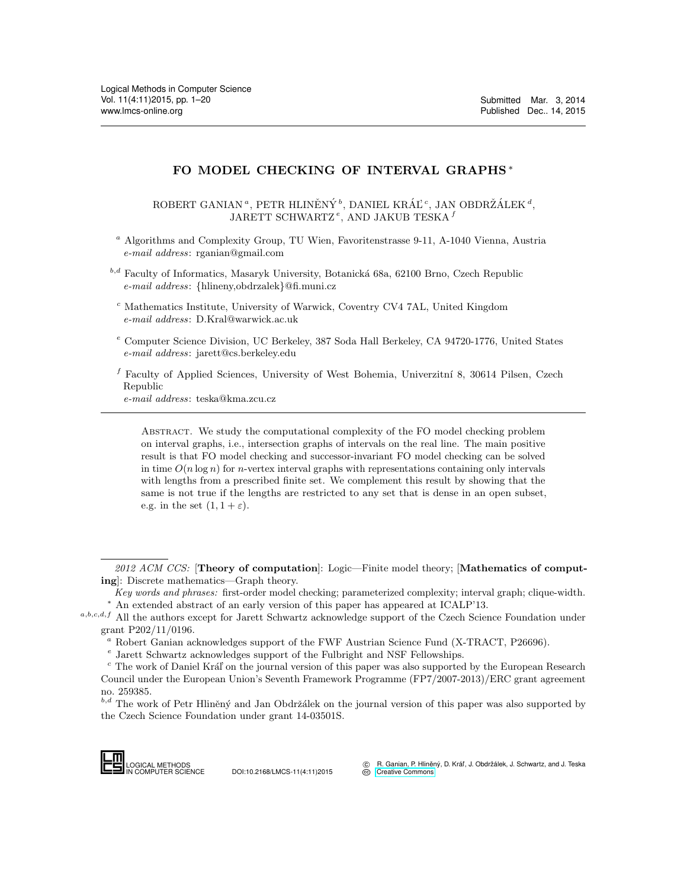# FO MODEL CHECKING OF INTERVAL GRAPHS <sup>∗</sup>

ROBERT GANIAN<sup>a</sup>, PETR HLINĚNÝ<sup>b</sup>, DANIEL KRÁĽ<sup>c</sup>, JAN OBDRŽÁLEK<sup>a</sup>, JARETT SCHWARTZ<sup>e</sup>, AND JAKUB TESKA $^f$ 

<sup>a</sup> Algorithms and Complexity Group, TU Wien, Favoritenstrasse 9-11, A-1040 Vienna, Austria e-mail address: rganian@gmail.com

 $b,d$  Faculty of Informatics, Masaryk University, Botanická 68a, 62100 Brno, Czech Republic e-mail address: {hlineny,obdrzalek}@fi.muni.cz

- <sup>c</sup> Mathematics Institute, University of Warwick, Coventry CV4 7AL, United Kingdom e-mail address: D.Kral@warwick.ac.uk
- $e$  Computer Science Division, UC Berkeley, 387 Soda Hall Berkeley, CA 94720-1776, United States e-mail address: jarett@cs.berkeley.edu

<sup>f</sup> Faculty of Applied Sciences, University of West Bohemia, Univerzitní 8, 30614 Pilsen, Czech Republic

e-mail address: teska@kma.zcu.cz

Abstract. We study the computational complexity of the FO model checking problem on interval graphs, i.e., intersection graphs of intervals on the real line. The main positive result is that FO model checking and successor-invariant FO model checking can be solved in time  $O(n \log n)$  for *n*-vertex interval graphs with representations containing only intervals with lengths from a prescribed finite set. We complement this result by showing that the same is not true if the lengths are restricted to any set that is dense in an open subset, e.g. in the set  $(1, 1 + \varepsilon)$ .

 $b,d$  The work of Petr Hliněný and Jan Obdržálek on the journal version of this paper was also supported by the Czech Science Foundation under grant 14-03501S.



<sup>2012</sup> ACM CCS: [Theory of computation]: Logic—Finite model theory; [Mathematics of computing]: Discrete mathematics—Graph theory.

Key words and phrases: first-order model checking; parameterized complexity; interval graph; clique-width. <sup>∗</sup> An extended abstract of an early version of this paper has appeared at ICALP'13.

 $a,b,c,d,f$  All the authors except for Jarett Schwartz acknowledge support of the Czech Science Foundation under grant P202/11/0196.

<sup>a</sup> Robert Ganian acknowledges support of the FWF Austrian Science Fund (X-TRACT, P26696).

e Jarett Schwartz acknowledges support of the Fulbright and NSF Fellowships.

 $c$  The work of Daniel Král' on the journal version of this paper was also supported by the European Research Council under the European Union's Seventh Framework Programme (FP7/2007-2013)/ERC grant agreement no. 259385.  $\frac{a}{c}$  Robert Ganian a<br>  $\frac{e}{c}$  Jarett Schwartz<br>  $\frac{c}{c}$  The work of Dani<br>
Council under the E<br>
no. 259385.<br>  $\frac{b,d}{c}$  The work of Pett<br>
the Czech Science F<br>
Logical METHODS<br>
NOGICAL METHODS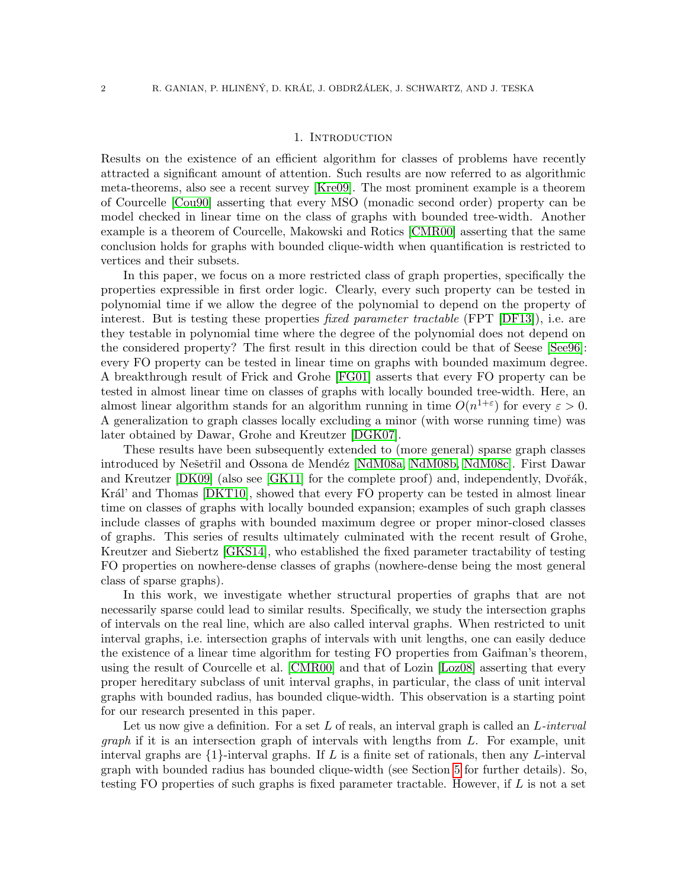### 1. INTRODUCTION

Results on the existence of an efficient algorithm for classes of problems have recently attracted a significant amount of attention. Such results are now referred to as algorithmic meta-theorems, also see a recent survey [\[Kre09\]](#page-18-0). The most prominent example is a theorem of Courcelle [\[Cou90\]](#page-18-1) asserting that every MSO (monadic second order) property can be model checked in linear time on the class of graphs with bounded tree-width. Another example is a theorem of Courcelle, Makowski and Rotics [\[CMR00\]](#page-18-2) asserting that the same conclusion holds for graphs with bounded clique-width when quantification is restricted to vertices and their subsets.

In this paper, we focus on a more restricted class of graph properties, specifically the properties expressible in first order logic. Clearly, every such property can be tested in polynomial time if we allow the degree of the polynomial to depend on the property of interest. But is testing these properties *fixed parameter tractable* (FPT [\[DF13\]](#page-18-3)), i.e. are they testable in polynomial time where the degree of the polynomial does not depend on the considered property? The first result in this direction could be that of Seese [\[See96\]](#page-19-0): every FO property can be tested in linear time on graphs with bounded maximum degree. A breakthrough result of Frick and Grohe [\[FG01\]](#page-18-4) asserts that every FO property can be tested in almost linear time on classes of graphs with locally bounded tree-width. Here, an almost linear algorithm stands for an algorithm running in time  $O(n^{1+\epsilon})$  for every  $\varepsilon > 0$ . A generalization to graph classes locally excluding a minor (with worse running time) was later obtained by Dawar, Grohe and Kreutzer [\[DGK07\]](#page-18-5).

These results have been subsequently extended to (more general) sparse graph classes introduced by Nešetřil and Ossona de Mendéz [\[NdM08a,](#page-18-6) [NdM08b,](#page-18-7) [NdM08c\]](#page-18-8). First Dawar and Kreutzer  $[DK09]$  (also see  $[GK11]$  for the complete proof) and, independently, Dvořák, Král' and Thomas [\[DKT10\]](#page-18-11), showed that every FO property can be tested in almost linear time on classes of graphs with locally bounded expansion; examples of such graph classes include classes of graphs with bounded maximum degree or proper minor-closed classes of graphs. This series of results ultimately culminated with the recent result of Grohe, Kreutzer and Siebertz [\[GKS14\]](#page-18-12), who established the fixed parameter tractability of testing FO properties on nowhere-dense classes of graphs (nowhere-dense being the most general class of sparse graphs).

In this work, we investigate whether structural properties of graphs that are not necessarily sparse could lead to similar results. Specifically, we study the intersection graphs of intervals on the real line, which are also called interval graphs. When restricted to unit interval graphs, i.e. intersection graphs of intervals with unit lengths, one can easily deduce the existence of a linear time algorithm for testing FO properties from Gaifman's theorem, using the result of Courcelle et al. [\[CMR00\]](#page-18-2) and that of Lozin [\[Loz08\]](#page-18-13) asserting that every proper hereditary subclass of unit interval graphs, in particular, the class of unit interval graphs with bounded radius, has bounded clique-width. This observation is a starting point for our research presented in this paper.

Let us now give a definition. For a set  $L$  of reals, an interval graph is called an  $L$ -interval  $graph$  if it is an intersection graph of intervals with lengths from  $L$ . For example, unit interval graphs are  $\{1\}$ -interval graphs. If L is a finite set of rationals, then any L-interval graph with bounded radius has bounded clique-width (see Section [5](#page-11-0) for further details). So, testing FO properties of such graphs is fixed parameter tractable. However, if  $L$  is not a set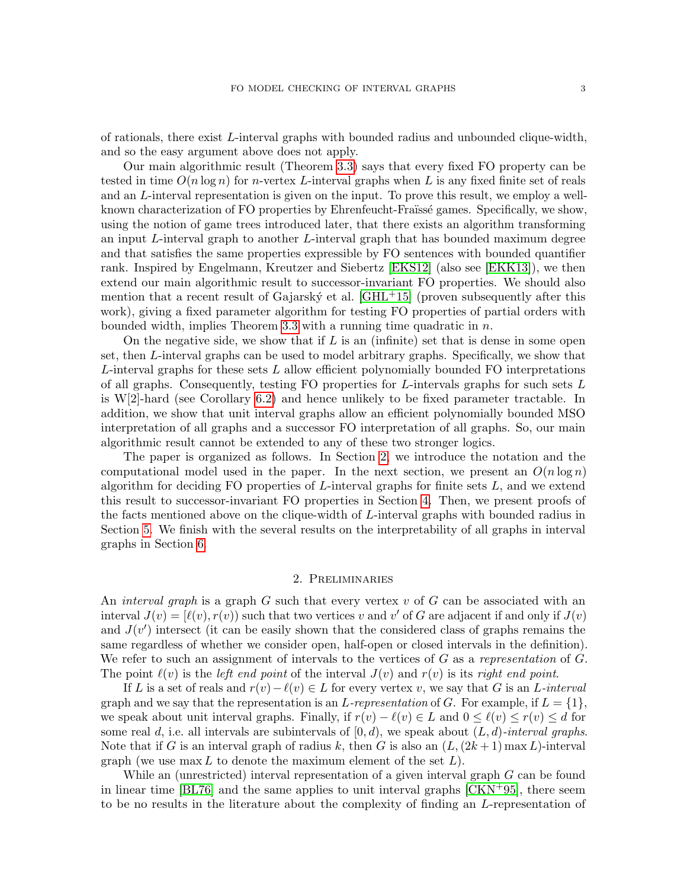of rationals, there exist L-interval graphs with bounded radius and unbounded clique-width, and so the easy argument above does not apply.

Our main algorithmic result (Theorem [3.3\)](#page-8-0) says that every fixed FO property can be tested in time  $O(n \log n)$  for *n*-vertex L-interval graphs when L is any fixed finite set of reals and an L-interval representation is given on the input. To prove this result, we employ a wellknown characterization of FO properties by Ehrenfeucht-Fraüssé games. Specifically, we show, using the notion of game trees introduced later, that there exists an algorithm transforming an input L-interval graph to another L-interval graph that has bounded maximum degree and that satisfies the same properties expressible by FO sentences with bounded quantifier rank. Inspired by Engelmann, Kreutzer and Siebertz [\[EKS12\]](#page-18-14) (also see [\[EKK13\]](#page-18-15)), we then extend our main algorithmic result to successor-invariant FO properties. We should also mention that a recent result of Gajarský et al.  $\text{[GHL+15]}$  $\text{[GHL+15]}$  $\text{[GHL+15]}$  (proven subsequently after this work), giving a fixed parameter algorithm for testing FO properties of partial orders with bounded width, implies Theorem [3.3](#page-8-0) with a running time quadratic in  $n$ .

On the negative side, we show that if  $L$  is an (infinite) set that is dense in some open set, then L-interval graphs can be used to model arbitrary graphs. Specifically, we show that  $L$ -interval graphs for these sets  $L$  allow efficient polynomially bounded FO interpretations of all graphs. Consequently, testing FO properties for L-intervals graphs for such sets  $L$ is W[2]-hard (see Corollary [6.2\)](#page-15-0) and hence unlikely to be fixed parameter tractable. In addition, we show that unit interval graphs allow an efficient polynomially bounded MSO interpretation of all graphs and a successor FO interpretation of all graphs. So, our main algorithmic result cannot be extended to any of these two stronger logics.

The paper is organized as follows. In Section [2,](#page-2-0) we introduce the notation and the computational model used in the paper. In the next section, we present an  $O(n \log n)$ algorithm for deciding FO properties of  $L$ -interval graphs for finite sets  $L$ , and we extend this result to successor-invariant FO properties in Section [4.](#page-8-1) Then, we present proofs of the facts mentioned above on the clique-width of L-interval graphs with bounded radius in Section [5.](#page-11-0) We finish with the several results on the interpretability of all graphs in interval graphs in Section [6.](#page-13-0)

#### 2. Preliminaries

<span id="page-2-0"></span>An *interval graph* is a graph  $G$  such that every vertex  $v$  of  $G$  can be associated with an interval  $J(v) = [\ell(v), r(v)]$  such that two vertices v and v' of G are adjacent if and only if  $J(v)$ and  $J(v')$  intersect (it can be easily shown that the considered class of graphs remains the same regardless of whether we consider open, half-open or closed intervals in the definition). We refer to such an assignment of intervals to the vertices of  $G$  as a representation of  $G$ . The point  $\ell(v)$  is the left end point of the interval  $J(v)$  and  $r(v)$  is its right end point.

If L is a set of reals and  $r(v) - \ell(v) \in L$  for every vertex v, we say that G is an L-interval graph and we say that the representation is an L-representation of G. For example, if  $L = \{1\}$ , we speak about unit interval graphs. Finally, if  $r(v) - \ell(v) \in L$  and  $0 \leq \ell(v) \leq r(v) \leq d$  for some real d, i.e. all intervals are subintervals of  $[0, d)$ , we speak about  $(L, d)$ -interval graphs. Note that if G is an interval graph of radius k, then G is also an  $(L,(2k+1) \max L)$ -interval graph (we use  $\max L$  to denote the maximum element of the set  $L$ ).

While an (unrestricted) interval representation of a given interval graph G can be found in linear time  $[BL76]$  and the same applies to unit interval graphs  $[CKN<sup>+</sup>95]$  $[CKN<sup>+</sup>95]$ , there seem to be no results in the literature about the complexity of finding an L-representation of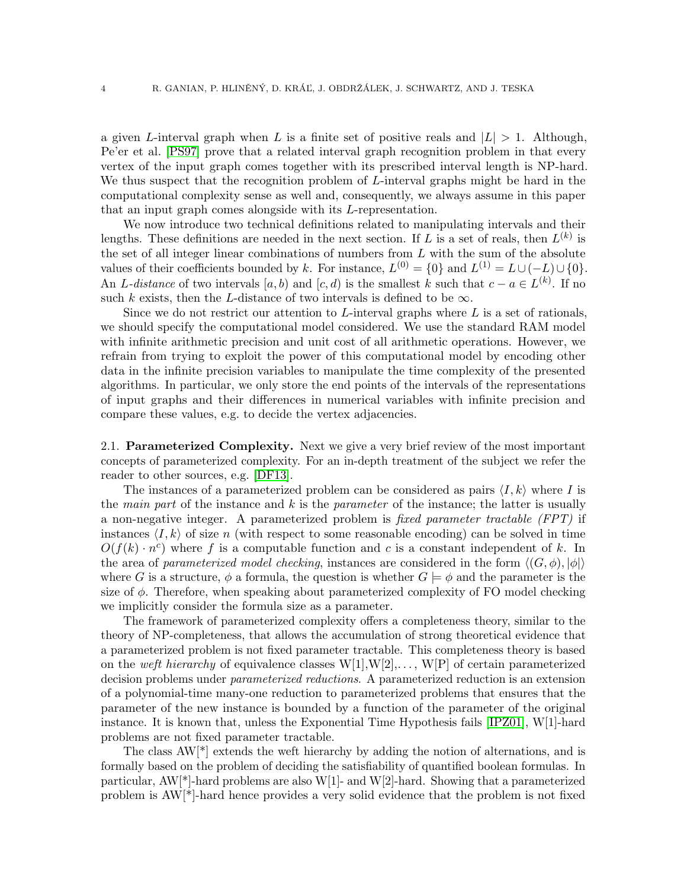a given L-interval graph when L is a finite set of positive reals and  $|L| > 1$ . Although, Pe'er et al. [\[PS97\]](#page-18-19) prove that a related interval graph recognition problem in that every vertex of the input graph comes together with its prescribed interval length is NP-hard. We thus suspect that the recognition problem of L-interval graphs might be hard in the computational complexity sense as well and, consequently, we always assume in this paper that an input graph comes alongside with its L-representation.

We now introduce two technical definitions related to manipulating intervals and their lengths. These definitions are needed in the next section. If L is a set of reals, then  $L^{(k)}$  is the set of all integer linear combinations of numbers from  $L$  with the sum of the absolute values of their coefficients bounded by k. For instance,  $L^{(0)} = \{0\}$  and  $L^{(1)} = L \cup (-L) \cup \{0\}$ . An L-distance of two intervals  $[a, b)$  and  $[c, d)$  is the smallest k such that  $c - a \in L^{(k)}$ . If no such k exists, then the L-distance of two intervals is defined to be  $\infty$ .

Since we do not restrict our attention to  $L$ -interval graphs where  $L$  is a set of rationals, we should specify the computational model considered. We use the standard RAM model with infinite arithmetic precision and unit cost of all arithmetic operations. However, we refrain from trying to exploit the power of this computational model by encoding other data in the infinite precision variables to manipulate the time complexity of the presented algorithms. In particular, we only store the end points of the intervals of the representations of input graphs and their differences in numerical variables with infinite precision and compare these values, e.g. to decide the vertex adjacencies.

2.1. Parameterized Complexity. Next we give a very brief review of the most important concepts of parameterized complexity. For an in-depth treatment of the subject we refer the reader to other sources, e.g. [\[DF13\]](#page-18-3).

The instances of a parameterized problem can be considered as pairs  $\langle I, k \rangle$  where I is the main part of the instance and  $k$  is the parameter of the instance; the latter is usually a non-negative integer. A parameterized problem is fixed parameter tractable (FPT) if instances  $\langle I, k \rangle$  of size n (with respect to some reasonable encoding) can be solved in time  $O(f(k) \cdot n^c)$  where f is a computable function and c is a constant independent of k. In the area of parameterized model checking, instances are considered in the form  $\langle (G, \phi), |\phi| \rangle$ where G is a structure,  $\phi$  a formula, the question is whether  $G \models \phi$  and the parameter is the size of  $\phi$ . Therefore, when speaking about parameterized complexity of FO model checking we implicitly consider the formula size as a parameter.

The framework of parameterized complexity offers a completeness theory, similar to the theory of NP-completeness, that allows the accumulation of strong theoretical evidence that a parameterized problem is not fixed parameter tractable. This completeness theory is based on the weft hierarchy of equivalence classes  $W[1], W[2], \ldots, W[P]$  of certain parameterized decision problems under *parameterized reductions*. A parameterized reduction is an extension of a polynomial-time many-one reduction to parameterized problems that ensures that the parameter of the new instance is bounded by a function of the parameter of the original instance. It is known that, unless the Exponential Time Hypothesis fails [\[IPZ01\]](#page-18-20), W[1]-hard problems are not fixed parameter tractable.

The class AW[\*] extends the weft hierarchy by adding the notion of alternations, and is formally based on the problem of deciding the satisfiability of quantified boolean formulas. In particular,  $AW[*]$ -hard problems are also  $W[1]$ - and  $W[2]$ -hard. Showing that a parameterized problem is AW[\*]-hard hence provides a very solid evidence that the problem is not fixed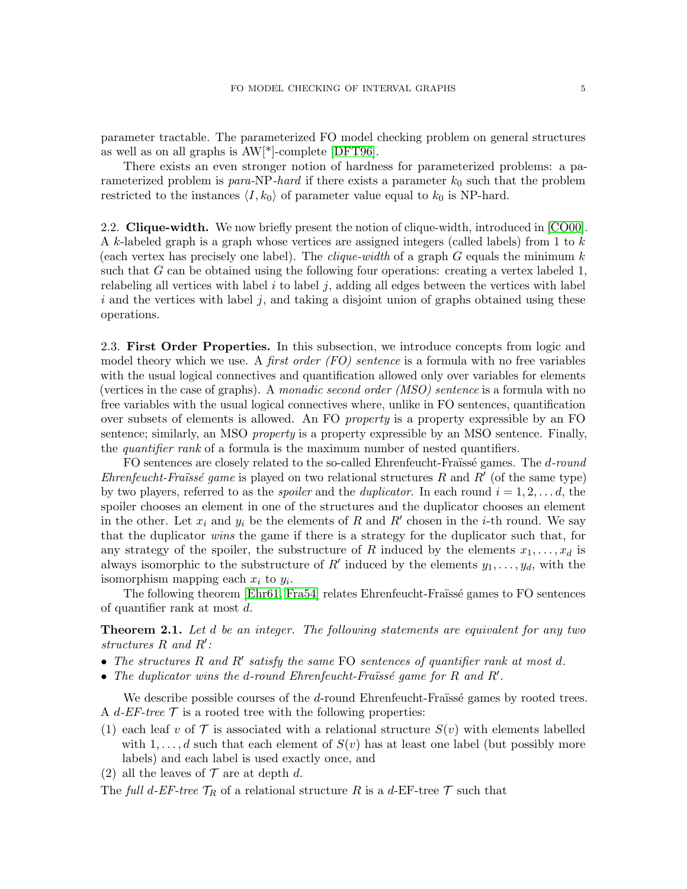parameter tractable. The parameterized FO model checking problem on general structures as well as on all graphs is AW[\*]-complete [\[DFT96\]](#page-18-21).

There exists an even stronger notion of hardness for parameterized problems: a parameterized problem is para-NP-hard if there exists a parameter  $k_0$  such that the problem restricted to the instances  $\langle I, k_0 \rangle$  of parameter value equal to  $k_0$  is NP-hard.

2.2. Clique-width. We now briefly present the notion of clique-width, introduced in [\[CO00\]](#page-18-22). A k-labeled graph is a graph whose vertices are assigned integers (called labels) from 1 to  $k$ (each vertex has precisely one label). The *clique-width* of a graph  $G$  equals the minimum  $k$ such that  $G$  can be obtained using the following four operations: creating a vertex labeled 1, relabeling all vertices with label  $i$  to label  $j$ , adding all edges between the vertices with label  $i$  and the vertices with label  $j$ , and taking a disjoint union of graphs obtained using these operations.

2.3. First Order Properties. In this subsection, we introduce concepts from logic and model theory which we use. A *first order (FO) sentence* is a formula with no free variables with the usual logical connectives and quantification allowed only over variables for elements (vertices in the case of graphs). A monadic second order  $(MSO)$  sentence is a formula with no free variables with the usual logical connectives where, unlike in FO sentences, quantification over subsets of elements is allowed. An FO *property* is a property expressible by an FO sentence; similarly, an MSO *property* is a property expressible by an MSO sentence. Finally, the *quantifier rank* of a formula is the maximum number of nested quantifiers.

FO sentences are closely related to the so-called Ehrenfeucht-Fraüssé games. The d-round Ehrenfeucht-Fraüssé game is played on two relational structures  $R$  and  $R'$  (of the same type) by two players, referred to as the *spoiler* and the *duplicator*. In each round  $i = 1, 2, \ldots, d$ , the spoiler chooses an element in one of the structures and the duplicator chooses an element in the other. Let  $x_i$  and  $y_i$  be the elements of R and R' chosen in the *i*-th round. We say that the duplicator wins the game if there is a strategy for the duplicator such that, for any strategy of the spoiler, the substructure of R induced by the elements  $x_1, \ldots, x_d$  is always isomorphic to the substructure of  $R'$  induced by the elements  $y_1, \ldots, y_d$ , with the isomorphism mapping each  $x_i$  to  $y_i$ .

The following theorem [\[Ehr61,](#page-18-23) [Fra54\]](#page-18-24) relates Ehrenfeucht-Fraïssé games to FO sentences of quantifier rank at most d.

<span id="page-4-0"></span>**Theorem 2.1.** Let d be an integer. The following statements are equivalent for any two structures  $R$  and  $R'$ :

- The structures  $R$  and  $R'$  satisfy the same FO sentences of quantifier rank at most  $d$ .
- The duplicator wins the d-round Ehrenfeucht-Fraüssé game for  $R$  and  $R'$ .

We describe possible courses of the  $d$ -round Ehrenfeucht-Fraïssé games by rooted trees. A d-EF-tree  $\mathcal T$  is a rooted tree with the following properties:

- (1) each leaf v of  $\mathcal T$  is associated with a relational structure  $S(v)$  with elements labelled with  $1, \ldots, d$  such that each element of  $S(v)$  has at least one label (but possibly more labels) and each label is used exactly once, and
- (2) all the leaves of  $\mathcal T$  are at depth d.

The full d-EF-tree  $\mathcal{T}_R$  of a relational structure R is a d-EF-tree T such that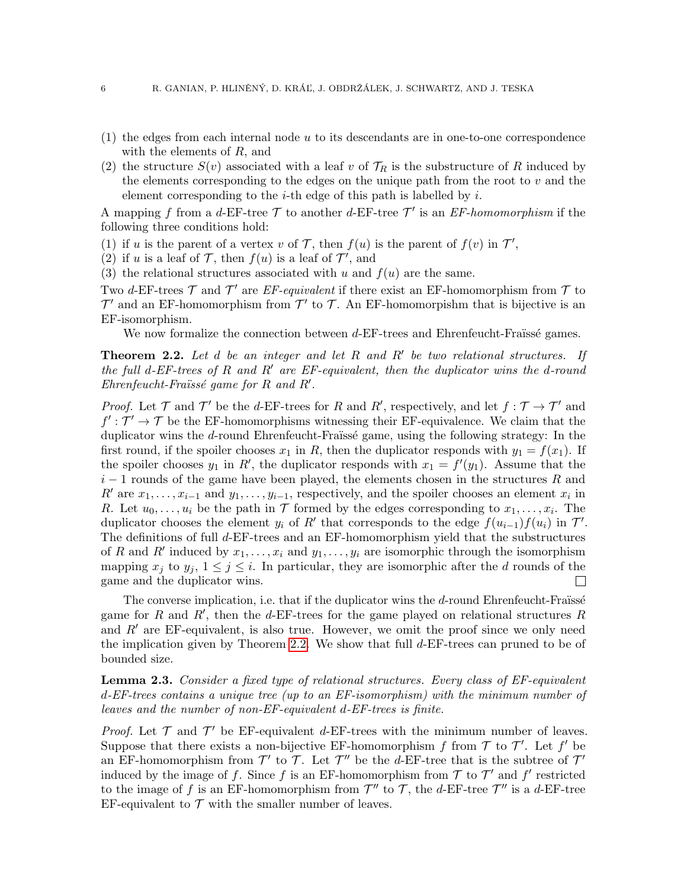- (1) the edges from each internal node u to its descendants are in one-to-one correspondence with the elements of R, and
- (2) the structure  $S(v)$  associated with a leaf v of  $\mathcal{T}_R$  is the substructure of R induced by the elements corresponding to the edges on the unique path from the root to  $v$  and the element corresponding to the *i*-th edge of this path is labelled by *i*.

A mapping f from a d-EF-tree  $\mathcal T$  to another d-EF-tree  $\mathcal T'$  is an EF-homomorphism if the following three conditions hold:

- (1) if u is the parent of a vertex v of T, then  $f(u)$  is the parent of  $f(v)$  in  $T'$ ,
- (2) if u is a leaf of  $\mathcal{T}$ , then  $f(u)$  is a leaf of  $\mathcal{T}'$ , and
- (3) the relational structures associated with u and  $f(u)$  are the same.

Two d-EF-trees  $\mathcal T$  and  $\mathcal T'$  are EF-equivalent if there exist an EF-homomorphism from  $\mathcal T$  to  $\mathcal{T}'$  and an EF-homomorphism from  $\mathcal{T}'$  to  $\mathcal{T}$ . An EF-homomorpishm that is bijective is an EF-isomorphism.

We now formalize the connection between  $d$ -EF-trees and Ehrenfeucht-Fraüssé games.

<span id="page-5-0"></span>**Theorem 2.2.** Let  $d$  be an integer and let  $R$  and  $R'$  be two relational structures. If the full d-EF-trees of R and R' are EF-equivalent, then the duplicator wins the d-round  $Ehrenfeucht-Fraïssé game for R and R'.$ 

*Proof.* Let  $\mathcal T$  and  $\mathcal T'$  be the d-EF-trees for R and R', respectively, and let  $f : \mathcal T \to \mathcal T'$  and  $f': \mathcal{T}' \to \mathcal{T}$  be the EF-homomorphisms witnessing their EF-equivalence. We claim that the duplicator wins the  $d$ -round Ehrenfeucht-Fraïssé game, using the following strategy: In the first round, if the spoiler chooses  $x_1$  in R, then the duplicator responds with  $y_1 = f(x_1)$ . If the spoiler chooses  $y_1$  in R', the duplicator responds with  $x_1 = f'(y_1)$ . Assume that the  $i-1$  rounds of the game have been played, the elements chosen in the structures R and R' are  $x_1, \ldots, x_{i-1}$  and  $y_1, \ldots, y_{i-1}$ , respectively, and the spoiler chooses an element  $x_i$  in R. Let  $u_0, \ldots, u_i$  be the path in  $\mathcal T$  formed by the edges corresponding to  $x_1, \ldots, x_i$ . The duplicator chooses the element  $y_i$  of R' that corresponds to the edge  $f(u_{i-1})f(u_i)$  in  $\mathcal{T}'$ . The definitions of full d-EF-trees and an EF-homomorphism yield that the substructures of R and R' induced by  $x_1, \ldots, x_i$  and  $y_1, \ldots, y_i$  are isomorphic through the isomorphism mapping  $x_j$  to  $y_j$ ,  $1 \le j \le i$ . In particular, they are isomorphic after the d rounds of the game and the duplicator wins. game and the duplicator wins.

The converse implication, i.e. that if the duplicator wins the  $d$ -round Ehrenfeucht-Fraüssé game for R and R', then the d-EF-trees for the game played on relational structures R and  $R'$  are EF-equivalent, is also true. However, we omit the proof since we only need the implication given by Theorem [2.2.](#page-5-0) We show that full  $d$ -EF-trees can pruned to be of bounded size.

<span id="page-5-1"></span>**Lemma 2.3.** Consider a fixed type of relational structures. Every class of EF-equivalent d-EF-trees contains a unique tree (up to an EF-isomorphism) with the minimum number of leaves and the number of non-EF-equivalent d-EF-trees is finite.

*Proof.* Let  $\mathcal T$  and  $\mathcal T'$  be EF-equivalent d-EF-trees with the minimum number of leaves. Suppose that there exists a non-bijective EF-homomorphism f from  $\mathcal T$  to  $\mathcal T'$ . Let  $f'$  be an EF-homomorphism from  $\mathcal{T}'$  to  $\mathcal{T}$ . Let  $\mathcal{T}''$  be the d-EF-tree that is the subtree of  $\mathcal{T}'$ induced by the image of f. Since f is an EF-homomorphism from  $\mathcal T$  to  $\mathcal T'$  and  $f'$  restricted to the image of f is an EF-homomorphism from  $\mathcal{T}''$  to  $\mathcal{T}$ , the d-EF-tree  $\mathcal{T}''$  is a d-EF-tree EF-equivalent to  $\mathcal T$  with the smaller number of leaves.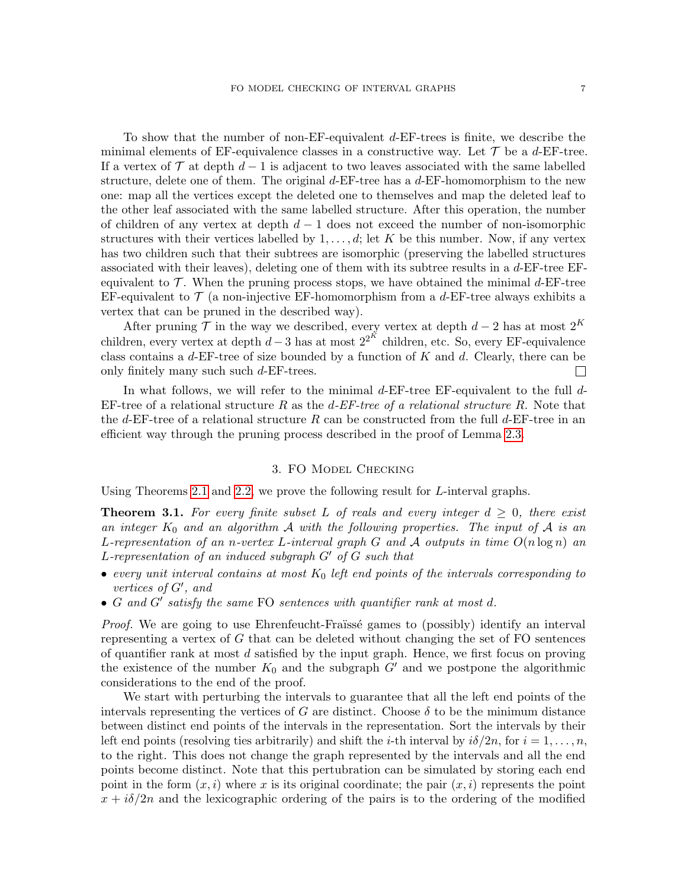To show that the number of non-EF-equivalent d-EF-trees is finite, we describe the minimal elements of EF-equivalence classes in a constructive way. Let  $\mathcal T$  be a d-EF-tree. If a vertex of  $\mathcal T$  at depth  $d-1$  is adjacent to two leaves associated with the same labelled structure, delete one of them. The original  $d$ -EF-tree has a  $d$ -EF-homomorphism to the new one: map all the vertices except the deleted one to themselves and map the deleted leaf to the other leaf associated with the same labelled structure. After this operation, the number of children of any vertex at depth  $d-1$  does not exceed the number of non-isomorphic structures with their vertices labelled by  $1, \ldots, d$ ; let K be this number. Now, if any vertex has two children such that their subtrees are isomorphic (preserving the labelled structures associated with their leaves), deleting one of them with its subtree results in a d-EF-tree EFequivalent to  $\mathcal{T}$ . When the pruning process stops, we have obtained the minimal d-EF-tree EF-equivalent to  $\mathcal T$  (a non-injective EF-homomorphism from a d-EF-tree always exhibits a vertex that can be pruned in the described way).

After pruning  $\mathcal T$  in the way we described, every vertex at depth  $d-2$  has at most  $2^K$ children, every vertex at depth  $d-3$  has at most  $2^{2^K}$  children, etc. So, every EF-equivalence class contains a  $d$ -EF-tree of size bounded by a function of  $K$  and  $d$ . Clearly, there can be only finitely many such such d-EF-trees.  $\mathbf{L}$ 

In what follows, we will refer to the minimal d-EF-tree EF-equivalent to the full d-EF-tree of a relational structure R as the  $d$ -EF-tree of a relational structure R. Note that the d-EF-tree of a relational structure R can be constructed from the full d-EF-tree in an efficient way through the pruning process described in the proof of Lemma [2.3.](#page-5-1)

#### 3. FO Model Checking

Using Theorems [2.1](#page-4-0) and [2.2,](#page-5-0) we prove the following result for L-interval graphs.

<span id="page-6-0"></span>**Theorem 3.1.** For every finite subset L of reals and every integer  $d \geq 0$ , there exist an integer  $K_0$  and an algorithm A with the following properties. The input of A is an L-representation of an n-vertex L-interval graph G and A outputs in time  $O(n \log n)$  and L-representation of an induced subgraph  $G'$  of  $G$  such that

- every unit interval contains at most  $K_0$  left end points of the intervals corresponding to vertices of  $G'$ , and
- $G$  and  $G'$  satisfy the same FO sentences with quantifier rank at most  $d$ .

*Proof.* We are going to use Ehrenfeucht-Fraïssé games to (possibly) identify an interval representing a vertex of  $G$  that can be deleted without changing the set of  $FO$  sentences of quantifier rank at most d satisfied by the input graph. Hence, we first focus on proving the existence of the number  $K_0$  and the subgraph  $G'$  and we postpone the algorithmic considerations to the end of the proof.

We start with perturbing the intervals to guarantee that all the left end points of the intervals representing the vertices of G are distinct. Choose  $\delta$  to be the minimum distance between distinct end points of the intervals in the representation. Sort the intervals by their left end points (resolving ties arbitrarily) and shift the *i*-th interval by  $i\delta/2n$ , for  $i = 1, \ldots, n$ , to the right. This does not change the graph represented by the intervals and all the end points become distinct. Note that this pertubration can be simulated by storing each end point in the form  $(x, i)$  where x is its original coordinate; the pair  $(x, i)$  represents the point  $x + i\delta/2n$  and the lexicographic ordering of the pairs is to the ordering of the modified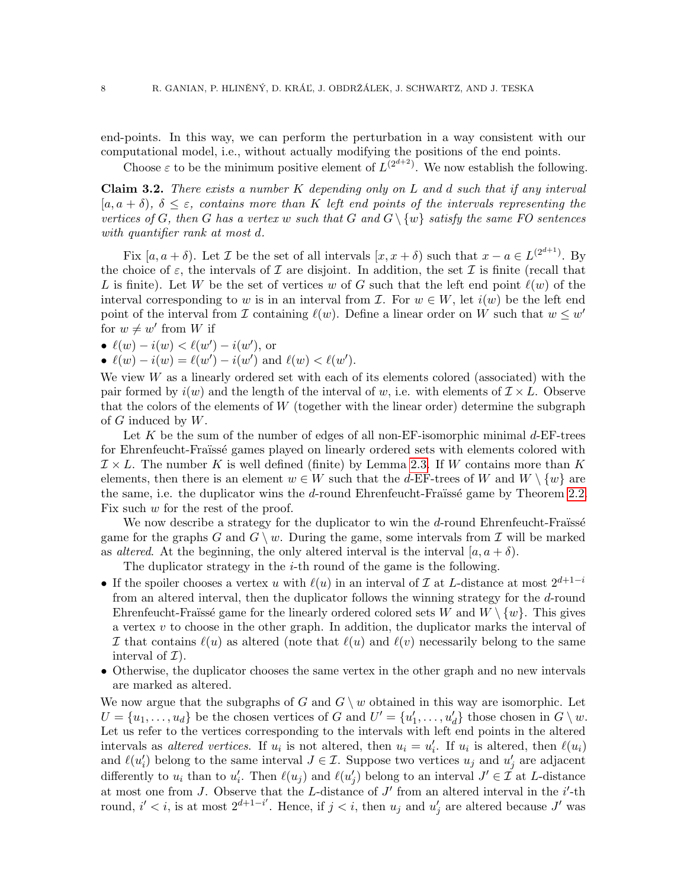end-points. In this way, we can perform the perturbation in a way consistent with our computational model, i.e., without actually modifying the positions of the end points.

Choose  $\varepsilon$  to be the minimum positive element of  $L^{(2^{d+2})}$ . We now establish the following.

**Claim 3.2.** There exists a number  $K$  depending only on  $L$  and  $d$  such that if any interval  $[a, a + \delta), \delta \leq \varepsilon$ , contains more than K left end points of the intervals representing the vertices of G, then G has a vertex w such that G and  $G \setminus \{w\}$  satisfy the same FO sentences with quantifier rank at most d.

Fix  $[a, a + \delta)$ . Let *T* be the set of all intervals  $[x, x + \delta)$  such that  $x - a \in L^{(2^{d+1})}$ . By the choice of  $\varepsilon$ , the intervals of  $\mathcal I$  are disjoint. In addition, the set  $\mathcal I$  is finite (recall that L is finite). Let W be the set of vertices w of G such that the left end point  $\ell(w)$  of the interval corresponding to w is in an interval from  $\mathcal{I}$ . For  $w \in W$ , let  $i(w)$  be the left end point of the interval from  $\mathcal I$  containing  $\ell(w)$ . Define a linear order on W such that  $w \leq w'$ for  $w \neq w'$  from W if

• 
$$
\ell(w) - i(w) < \ell(w') - i(w')
$$
, or

•  $\ell(w) - i(w) = \ell(w') - i(w')$  and  $\ell(w) < \ell(w')$ .

We view  $W$  as a linearly ordered set with each of its elements colored (associated) with the pair formed by  $i(w)$  and the length of the interval of w, i.e. with elements of  $\mathcal{I} \times L$ . Observe that the colors of the elements of  $W$  (together with the linear order) determine the subgraph of  $G$  induced by  $W$ .

Let  $K$  be the sum of the number of edges of all non-EF-isomorphic minimal  $d$ -EF-trees for Ehrenfeucht-Fraüssé games played on linearly ordered sets with elements colored with  $\mathcal{I} \times L$ . The number K is well defined (finite) by Lemma [2.3.](#page-5-1) If W contains more than K elements, then there is an element  $w \in W$  such that the d-EF-trees of W and  $W \setminus \{w\}$  are the same, i.e. the duplicator wins the  $d$ -round Ehrenfeucht-Fraïssé game by Theorem [2.2.](#page-5-0) Fix such  $w$  for the rest of the proof.

We now describe a strategy for the duplicator to win the  $d$ -round Ehrenfeucht-Fraüssé game for the graphs G and  $G \setminus w$ . During the game, some intervals from T will be marked as *altered*. At the beginning, the only altered interval is the interval  $[a, a + \delta)$ .

The duplicator strategy in the  $i$ -th round of the game is the following.

- If the spoiler chooses a vertex u with  $\ell(u)$  in an interval of I at L-distance at most  $2^{d+1-i}$ from an altered interval, then the duplicator follows the winning strategy for the d-round Ehrenfeucht-Fraïssé game for the linearly ordered colored sets W and  $W \setminus \{w\}$ . This gives a vertex  $v$  to choose in the other graph. In addition, the duplicator marks the interval of I that contains  $\ell(u)$  as altered (note that  $\ell(u)$  and  $\ell(v)$  necessarily belong to the same interval of  $\mathcal{I}$ ).
- Otherwise, the duplicator chooses the same vertex in the other graph and no new intervals are marked as altered.

We now argue that the subgraphs of G and  $G \setminus w$  obtained in this way are isomorphic. Let  $U = \{u_1, \ldots, u_d\}$  be the chosen vertices of G and  $U' = \{u'_1, \ldots, u'_d\}$  those chosen in  $G \setminus w$ . Let us refer to the vertices corresponding to the intervals with left end points in the altered intervals as *altered vertices*. If  $u_i$  is not altered, then  $u_i = u'_i$ . If  $u_i$  is altered, then  $\ell(u_i)$ and  $\ell(u'_i)$  belong to the same interval  $J \in \mathcal{I}$ . Suppose two vertices  $u_j$  and  $u'_j$  are adjacent differently to  $u_i$  than to  $u'_i$ . Then  $\ell(u_j)$  and  $\ell(u'_j)$  belong to an interval  $J' \in \mathcal{I}$  at L-distance at most one from J. Observe that the L-distance of  $J'$  from an altered interval in the  $i'$ -th round,  $i' < i$ , is at most  $2^{d+1-i'}$ . Hence, if  $j < i$ , then  $u_j$  and  $u'_j$  are altered because  $J'$  was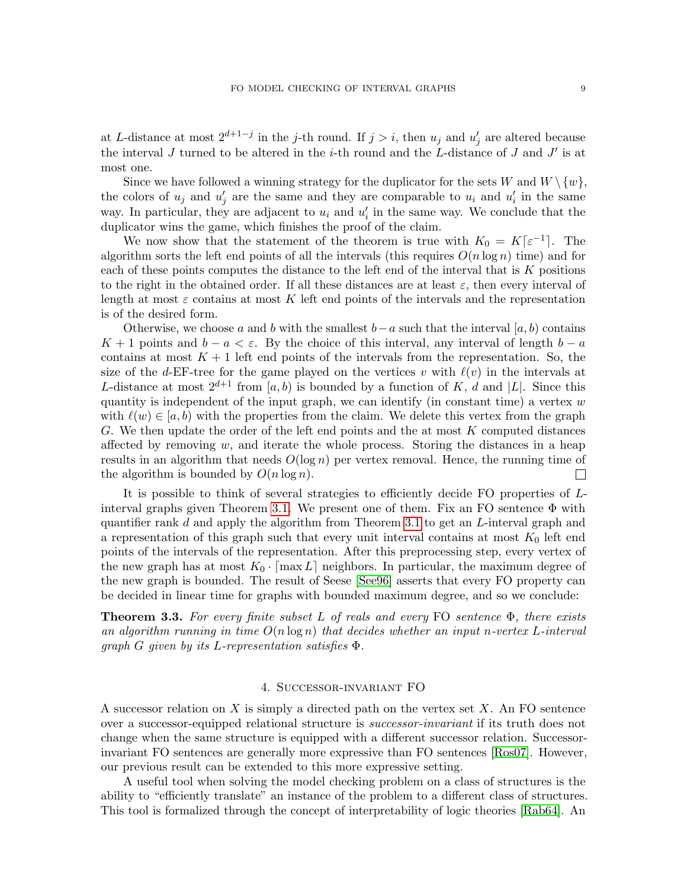at L-distance at most  $2^{d+1-j}$  in the j-th round. If  $j > i$ , then  $u_j$  and  $u'_j$  are altered because the interval J turned to be altered in the *i*-th round and the L-distance of J and J' is at most one.

Since we have followed a winning strategy for the duplicator for the sets W and  $W \setminus \{w\}$ , the colors of  $u_j$  and  $u'_j$  are the same and they are comparable to  $u_i$  and  $u'_i$  in the same way. In particular, they are adjacent to  $u_i$  and  $u'_i$  in the same way. We conclude that the duplicator wins the game, which finishes the proof of the claim.

We now show that the statement of the theorem is true with  $K_0 = K[\varepsilon^{-1}]$ . The algorithm sorts the left end points of all the intervals (this requires  $O(n \log n)$  time) and for each of these points computes the distance to the left end of the interval that is K positions to the right in the obtained order. If all these distances are at least  $\varepsilon$ , then every interval of length at most  $\varepsilon$  contains at most K left end points of the intervals and the representation is of the desired form.

Otherwise, we choose a and b with the smallest  $b-a$  such that the interval [a, b) contains K + 1 points and  $b - a < \varepsilon$ . By the choice of this interval, any interval of length  $b - a$ contains at most  $K + 1$  left end points of the intervals from the representation. So, the size of the d-EF-tree for the game played on the vertices v with  $\ell(v)$  in the intervals at L-distance at most  $2^{d+1}$  from [a, b) is bounded by a function of K, d and [L]. Since this quantity is independent of the input graph, we can identify (in constant time) a vertex  $w$ with  $\ell(w) \in [a, b]$  with the properties from the claim. We delete this vertex from the graph G. We then update the order of the left end points and the at most K computed distances affected by removing  $w$ , and iterate the whole process. Storing the distances in a heap results in an algorithm that needs  $O(\log n)$  per vertex removal. Hence, the running time of the algorithm is bounded by  $O(n \log n)$ .  $\Box$ 

It is possible to think of several strategies to efficiently decide FO properties of L-interval graphs given Theorem [3.1.](#page-6-0) We present one of them. Fix an FO sentence  $\Phi$  with quantifier rank d and apply the algorithm from Theorem [3.1](#page-6-0) to get an L-interval graph and a representation of this graph such that every unit interval contains at most  $K_0$  left end points of the intervals of the representation. After this preprocessing step, every vertex of the new graph has at most  $K_0 \cdot \lceil \max L \rceil$  neighbors. In particular, the maximum degree of the new graph is bounded. The result of Seese [\[See96\]](#page-19-0) asserts that every FO property can be decided in linear time for graphs with bounded maximum degree, and so we conclude:

<span id="page-8-0"></span>**Theorem 3.3.** For every finite subset L of reals and every FO sentence  $\Phi$ , there exists an algorithm running in time  $O(n \log n)$  that decides whether an input n-vertex L-interval graph G given by its L-representation satisfies  $\Phi$ .

### 4. Successor-invariant FO

<span id="page-8-1"></span>A successor relation on X is simply a directed path on the vertex set  $X$ . An FO sentence over a successor-equipped relational structure is successor-invariant if its truth does not change when the same structure is equipped with a different successor relation. Successorinvariant FO sentences are generally more expressive than FO sentences [\[Ros07\]](#page-19-1). However, our previous result can be extended to this more expressive setting.

A useful tool when solving the model checking problem on a class of structures is the ability to "efficiently translate" an instance of the problem to a different class of structures. This tool is formalized through the concept of interpretability of logic theories [\[Rab64\]](#page-19-2). An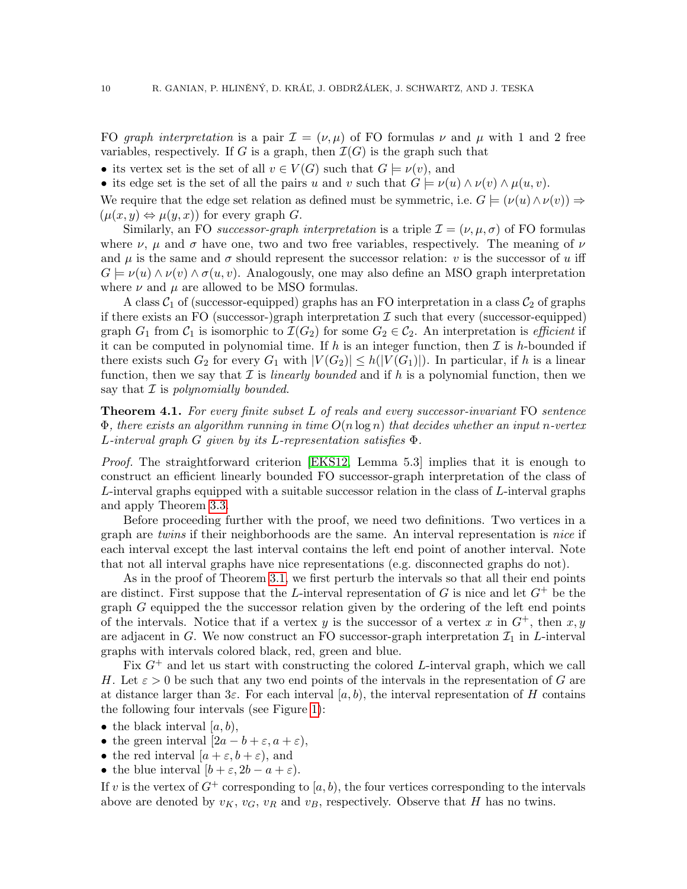FO graph interpretation is a pair  $\mathcal{I} = (\nu, \mu)$  of FO formulas  $\nu$  and  $\mu$  with 1 and 2 free variables, respectively. If G is a graph, then  $\mathcal{I}(G)$  is the graph such that

• its vertex set is the set of all  $v \in V(G)$  such that  $G \models \nu(v)$ , and

• its edge set is the set of all the pairs u and v such that  $G \models \nu(u) \land \nu(v) \land \mu(u, v)$ .

We require that the edge set relation as defined must be symmetric, i.e.  $G \models (\nu(u) \land \nu(v)) \Rightarrow$  $(\mu(x, y) \Leftrightarrow \mu(y, x))$  for every graph G.

Similarly, an FO successor-graph interpretation is a triple  $\mathcal{I} = (\nu, \mu, \sigma)$  of FO formulas where  $\nu$ ,  $\mu$  and  $\sigma$  have one, two and two free variables, respectively. The meaning of  $\nu$ and  $\mu$  is the same and  $\sigma$  should represent the successor relation: v is the successor of u iff  $G \models \nu(u) \wedge \nu(v) \wedge \sigma(u, v)$ . Analogously, one may also define an MSO graph interpretation where  $\nu$  and  $\mu$  are allowed to be MSO formulas.

A class  $C_1$  of (successor-equipped) graphs has an FO interpretation in a class  $C_2$  of graphs if there exists an FO (successor-)graph interpretation  $\mathcal I$  such that every (successor-equipped) graph  $G_1$  from  $C_1$  is isomorphic to  $\mathcal{I}(G_2)$  for some  $G_2 \in C_2$ . An interpretation is *efficient* if it can be computed in polynomial time. If  $h$  is an integer function, then  $\mathcal I$  is  $h$ -bounded if there exists such  $G_2$  for every  $G_1$  with  $|V(G_2)| \leq h(|V(G_1)|)$ . In particular, if h is a linear function, then we say that  $\mathcal I$  is linearly bounded and if h is a polynomial function, then we say that  $\mathcal I$  is polynomially bounded.

**Theorem 4.1.** For every finite subset L of reals and every successor-invariant FO sentence  $\Phi$ , there exists an algorithm running in time  $O(n \log n)$  that decides whether an input n-vertex L-interval graph G given by its L-representation satisfies Φ.

Proof. The straightforward criterion [\[EKS12,](#page-18-14) Lemma 5.3] implies that it is enough to construct an efficient linearly bounded FO successor-graph interpretation of the class of L-interval graphs equipped with a suitable successor relation in the class of L-interval graphs and apply Theorem [3.3.](#page-8-0)

Before proceeding further with the proof, we need two definitions. Two vertices in a graph are twins if their neighborhoods are the same. An interval representation is nice if each interval except the last interval contains the left end point of another interval. Note that not all interval graphs have nice representations (e.g. disconnected graphs do not).

As in the proof of Theorem [3.1,](#page-6-0) we first perturb the intervals so that all their end points are distinct. First suppose that the L-interval representation of G is nice and let  $G^+$  be the graph  $G$  equipped the the successor relation given by the ordering of the left end points of the intervals. Notice that if a vertex y is the successor of a vertex x in  $G^+$ , then x, y are adjacent in G. We now construct an FO successor-graph interpretation  $\mathcal{I}_1$  in L-interval graphs with intervals colored black, red, green and blue.

Fix  $G^+$  and let us start with constructing the colored L-interval graph, which we call H. Let  $\varepsilon > 0$  be such that any two end points of the intervals in the representation of G are at distance larger than  $3\varepsilon$ . For each interval  $[a, b)$ , the interval representation of H contains the following four intervals (see Figure [1\)](#page-10-0):

- the black interval  $[a, b)$ ,
- the green interval  $[2a b + \varepsilon, a + \varepsilon)$ ,
- the red interval  $[a + \varepsilon, b + \varepsilon]$ , and
- the blue interval  $[b + \varepsilon, 2b a + \varepsilon]$ .

If v is the vertex of  $G^+$  corresponding to [a, b], the four vertices corresponding to the intervals above are denoted by  $v_K$ ,  $v_G$ ,  $v_R$  and  $v_B$ , respectively. Observe that H has no twins.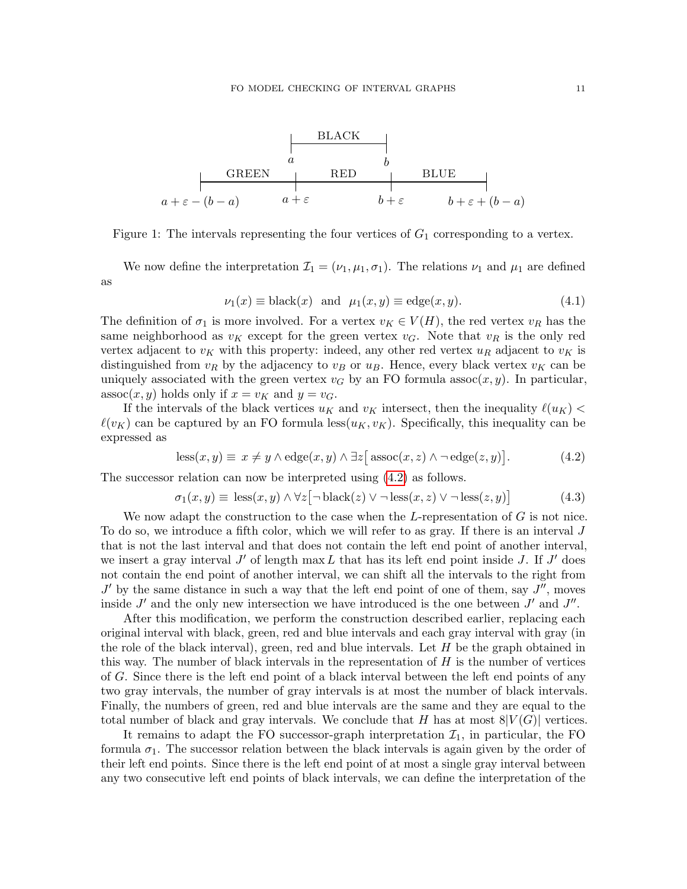

<span id="page-10-0"></span>Figure 1: The intervals representing the four vertices of  $G_1$  corresponding to a vertex.

We now define the interpretation  $\mathcal{I}_1 = (\nu_1, \mu_1, \sigma_1)$ . The relations  $\nu_1$  and  $\mu_1$  are defined as

<span id="page-10-1"></span>
$$
\nu_1(x) \equiv \text{black}(x) \quad \text{and} \quad \mu_1(x, y) \equiv \text{edge}(x, y). \tag{4.1}
$$

The definition of  $\sigma_1$  is more involved. For a vertex  $v_K \in V(H)$ , the red vertex  $v_R$  has the same neighborhood as  $v_K$  except for the green vertex  $v_G$ . Note that  $v_R$  is the only red vertex adjacent to  $v_K$  with this property: indeed, any other red vertex  $u_R$  adjacent to  $v_K$  is distinguished from  $v_R$  by the adjacency to  $v_B$  or  $u_B$ . Hence, every black vertex  $v_K$  can be uniquely associated with the green vertex  $v_G$  by an FO formula assoc $(x, y)$ . In particular, assoc $(x, y)$  holds only if  $x = v_K$  and  $y = v_G$ .

If the intervals of the black vertices  $u_K$  and  $v_K$  intersect, then the inequality  $\ell(u_K)$  $\ell(v_K)$  can be captured by an FO formula less( $u_K, v_K$ ). Specifically, this inequality can be expressed as

$$
less(x, y) \equiv x \neq y \land edge(x, y) \land \exists z \big[ assoc(x, z) \land \neg edge(z, y)\big]. \tag{4.2}
$$

The successor relation can now be interpreted using [\(4.2\)](#page-10-1) as follows.

$$
\sigma_1(x, y) \equiv \text{less}(x, y) \land \forall z [\neg \text{black}(z) \lor \neg \text{less}(x, z) \lor \neg \text{less}(z, y)] \tag{4.3}
$$

We now adapt the construction to the case when the  $L$ -representation of  $G$  is not nice. To do so, we introduce a fifth color, which we will refer to as gray. If there is an interval  $J$ that is not the last interval and that does not contain the left end point of another interval, we insert a gray interval  $J'$  of length max  $L$  that has its left end point inside  $J$ . If  $J'$  does not contain the end point of another interval, we can shift all the intervals to the right from  $J'$  by the same distance in such a way that the left end point of one of them, say  $J''$ , moves inside  $J'$  and the only new intersection we have introduced is the one between  $J'$  and  $J''$ .

After this modification, we perform the construction described earlier, replacing each original interval with black, green, red and blue intervals and each gray interval with gray (in the role of the black interval), green, red and blue intervals. Let  $H$  be the graph obtained in this way. The number of black intervals in the representation of  $H$  is the number of vertices of G. Since there is the left end point of a black interval between the left end points of any two gray intervals, the number of gray intervals is at most the number of black intervals. Finally, the numbers of green, red and blue intervals are the same and they are equal to the total number of black and gray intervals. We conclude that H has at most  $8|V(G)|$  vertices.

It remains to adapt the FO successor-graph interpretation  $\mathcal{I}_1$ , in particular, the FO formula  $\sigma_1$ . The successor relation between the black intervals is again given by the order of their left end points. Since there is the left end point of at most a single gray interval between any two consecutive left end points of black intervals, we can define the interpretation of the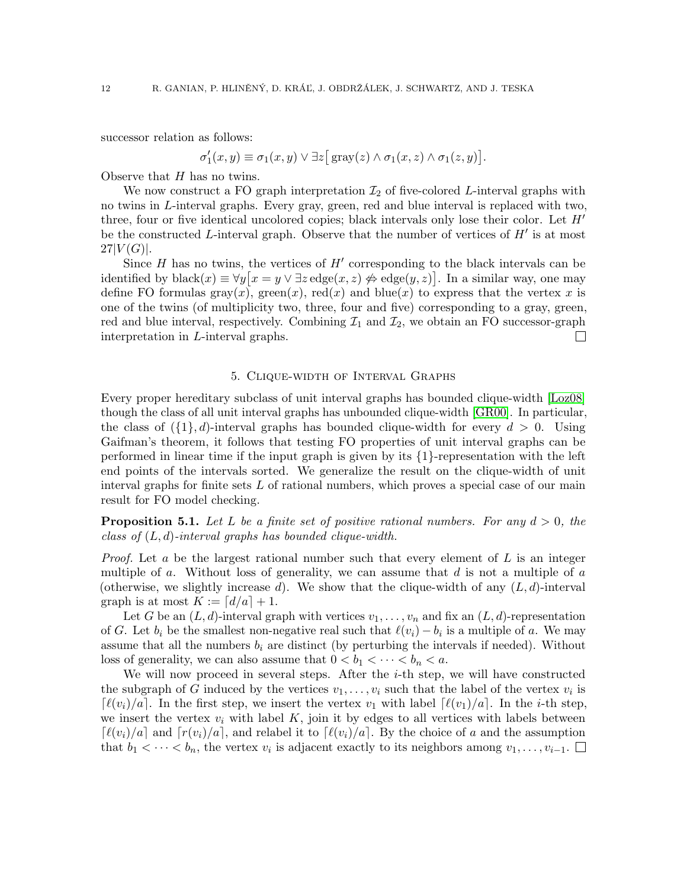successor relation as follows:

$$
\sigma'_1(x,y) \equiv \sigma_1(x,y) \vee \exists z \big[ \text{gray}(z) \wedge \sigma_1(x,z) \wedge \sigma_1(z,y) \big].
$$

Observe that  $H$  has no twins.

We now construct a FO graph interpretation  $\mathcal{I}_2$  of five-colored L-interval graphs with no twins in L-interval graphs. Every gray, green, red and blue interval is replaced with two, three, four or five identical uncolored copies; black intervals only lose their color. Let  $H'$ be the constructed L-interval graph. Observe that the number of vertices of  $H'$  is at most  $27|V(G)|.$ 

Since  $H$  has no twins, the vertices of  $H'$  corresponding to the black intervals can be identified by black $(x) \equiv \forall y [x = y \lor \exists z \text{ edge}(x, z) \Leftrightarrow \text{edge}(y, z)].$  In a similar way, one may define FO formulas gray(x), green(x), red(x) and blue(x) to express that the vertex x is one of the twins (of multiplicity two, three, four and five) corresponding to a gray, green, red and blue interval, respectively. Combining  $\mathcal{I}_1$  and  $\mathcal{I}_2$ , we obtain an FO successor-graph interpretation in *L*-interval graphs. interpretation in L-interval graphs.

### 5. Clique-width of Interval Graphs

<span id="page-11-0"></span>Every proper hereditary subclass of unit interval graphs has bounded clique-width [\[Loz08\]](#page-18-13) though the class of all unit interval graphs has unbounded clique-width [\[GR00\]](#page-18-25). In particular, the class of  $({1}, d)$ -interval graphs has bounded clique-width for every  $d > 0$ . Using Gaifman's theorem, it follows that testing FO properties of unit interval graphs can be performed in linear time if the input graph is given by its {1}-representation with the left end points of the intervals sorted. We generalize the result on the clique-width of unit interval graphs for finite sets  $L$  of rational numbers, which proves a special case of our main result for FO model checking.

<span id="page-11-1"></span>**Proposition 5.1.** Let L be a finite set of positive rational numbers. For any  $d > 0$ , the class of  $(L, d)$ -interval graphs has bounded clique-width.

*Proof.* Let a be the largest rational number such that every element of  $L$  is an integer multiple of  $a$ . Without loss of generality, we can assume that  $d$  is not a multiple of  $a$ (otherwise, we slightly increase d). We show that the clique-width of any  $(L, d)$ -interval graph is at most  $K := \lfloor d/a \rfloor + 1$ .

Let G be an  $(L, d)$ -interval graph with vertices  $v_1, \ldots, v_n$  and fix an  $(L, d)$ -representation of G. Let  $b_i$  be the smallest non-negative real such that  $\ell(v_i) - b_i$  is a multiple of a. We may assume that all the numbers  $b_i$  are distinct (by perturbing the intervals if needed). Without loss of generality, we can also assume that  $0 < b_1 < \cdots < b_n < a$ .

We will now proceed in several steps. After the  $i$ -th step, we will have constructed the subgraph of G induced by the vertices  $v_1, \ldots, v_i$  such that the label of the vertex  $v_i$  is  $\lceil \ell(v_i)/a \rceil$ . In the first step, we insert the vertex  $v_1$  with label  $\lceil \ell(v_1)/a \rceil$ . In the *i*-th step, we insert the vertex  $v_i$  with label  $K$ , join it by edges to all vertices with labels between  $\lceil \ell(v_i)/a \rceil$  and  $\lceil r(v_i)/a \rceil$ , and relabel it to  $\lceil \ell(v_i)/a \rceil$ . By the choice of a and the assumption that  $b_1 < \cdots < b_n$ , the vertex  $v_i$  is adjacent exactly to its neighbors among  $v_1, \ldots, v_{i-1}$ .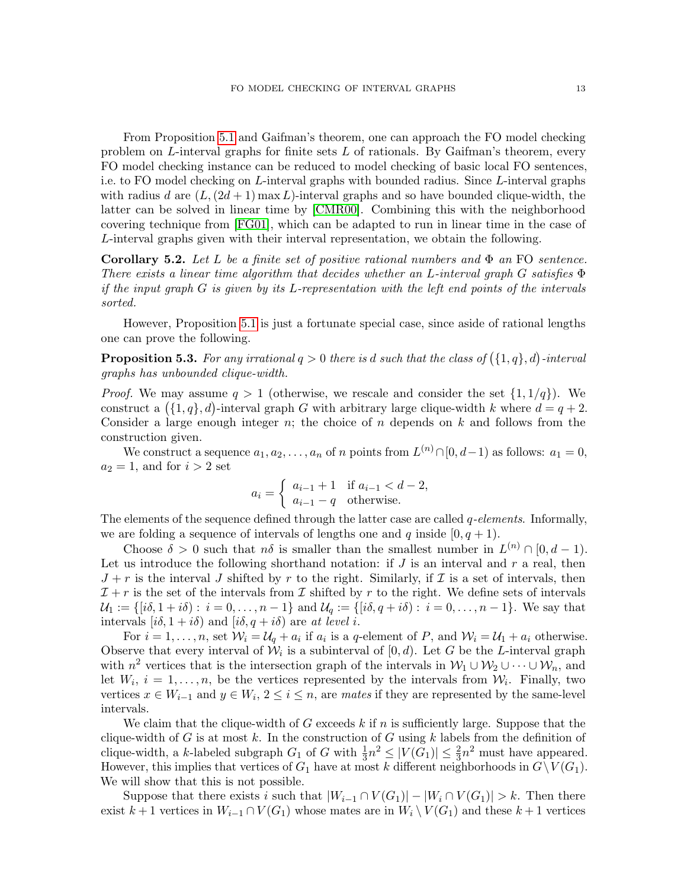From Proposition [5.1](#page-11-1) and Gaifman's theorem, one can approach the FO model checking problem on  $L$ -interval graphs for finite sets  $L$  of rationals. By Gaifman's theorem, every FO model checking instance can be reduced to model checking of basic local FO sentences, i.e. to FO model checking on L-interval graphs with bounded radius. Since L-interval graphs with radius d are  $(L, (2d + 1) \max L)$ -interval graphs and so have bounded clique-width, the latter can be solved in linear time by [\[CMR00\]](#page-18-2). Combining this with the neighborhood covering technique from [\[FG01\]](#page-18-4), which can be adapted to run in linear time in the case of L-interval graphs given with their interval representation, we obtain the following.

**Corollary 5.2.** Let L be a finite set of positive rational numbers and  $\Phi$  an FO sentence. There exists a linear time algorithm that decides whether an L-interval graph G satisfies  $\Phi$ if the input graph  $G$  is given by its L-representation with the left end points of the intervals sorted.

However, Proposition [5.1](#page-11-1) is just a fortunate special case, since aside of rational lengths one can prove the following.

**Proposition 5.3.** For any irrational  $q > 0$  there is d such that the class of  $(\{1, q\}, d)$ -interval graphs has unbounded clique-width.

*Proof.* We may assume  $q > 1$  (otherwise, we rescale and consider the set  $\{1, 1/q\}$ ). We construct a  $($ {1, q}, d)-interval graph G with arbitrary large clique-width k where  $d = q + 2$ . Consider a large enough integer n; the choice of n depends on k and follows from the construction given.

We construct a sequence  $a_1, a_2, \ldots, a_n$  of n points from  $L^{(n)} \cap [0, d-1)$  as follows:  $a_1 = 0$ ,  $a_2 = 1$ , and for  $i > 2$  set

$$
a_i = \begin{cases} a_{i-1} + 1 & \text{if } a_{i-1} < d-2, \\ a_{i-1} - q & \text{otherwise.} \end{cases}
$$

The elements of the sequence defined through the latter case are called  $q$ -elements. Informally, we are folding a sequence of intervals of lengths one and q inside  $[0, q+1)$ .

Choose  $\delta > 0$  such that  $n\delta$  is smaller than the smallest number in  $L^{(n)} \cap [0, d-1)$ . Let us introduce the following shorthand notation: if  $J$  is an interval and  $r$  a real, then  $J + r$  is the interval J shifted by r to the right. Similarly, if  $\mathcal I$  is a set of intervals, then  $\mathcal{I} + r$  is the set of the intervals from  $\mathcal I$  shifted by r to the right. We define sets of intervals  $\mathcal{U}_1 := \{ [i\delta, 1 + i\delta) : i = 0, \ldots, n - 1 \}$  and  $\mathcal{U}_q := \{ [i\delta, q + i\delta) : i = 0, \ldots, n - 1 \}$ . We say that intervals  $[i\delta, 1 + i\delta)$  and  $[i\delta, q + i\delta)$  are at level i.

For  $i = 1, \ldots, n$ , set  $\mathcal{W}_i = \mathcal{U}_q + a_i$  if  $a_i$  is a q-element of P, and  $\mathcal{W}_i = \mathcal{U}_1 + a_i$  otherwise. Observe that every interval of  $W_i$  is a subinterval of  $[0, d)$ . Let G be the L-interval graph with  $n^2$  vertices that is the intersection graph of the intervals in  $\mathcal{W}_1 \cup \mathcal{W}_2 \cup \cdots \cup \mathcal{W}_n$ , and let  $W_i$ ,  $i = 1, \ldots, n$ , be the vertices represented by the intervals from  $W_i$ . Finally, two vertices  $x \in W_{i-1}$  and  $y \in W_i$ ,  $2 \leq i \leq n$ , are mates if they are represented by the same-level intervals.

We claim that the clique-width of G exceeds k if n is sufficiently large. Suppose that the clique-width of G is at most k. In the construction of G using k labels from the definition of clique-width, a k-labeled subgraph  $G_1$  of G with  $\frac{1}{3}n^2 \leq |V(G_1)| \leq \frac{2}{3}n^2$  must have appeared. However, this implies that vertices of  $G_1$  have at most k different neighborhoods in  $G\setminus V(G_1)$ . We will show that this is not possible.

Suppose that there exists i such that  $|W_{i-1} \cap V(G_1)| - |W_i \cap V(G_1)| > k$ . Then there exist k + 1 vertices in  $W_{i-1} \cap V(G_1)$  whose mates are in  $W_i \setminus V(G_1)$  and these k + 1 vertices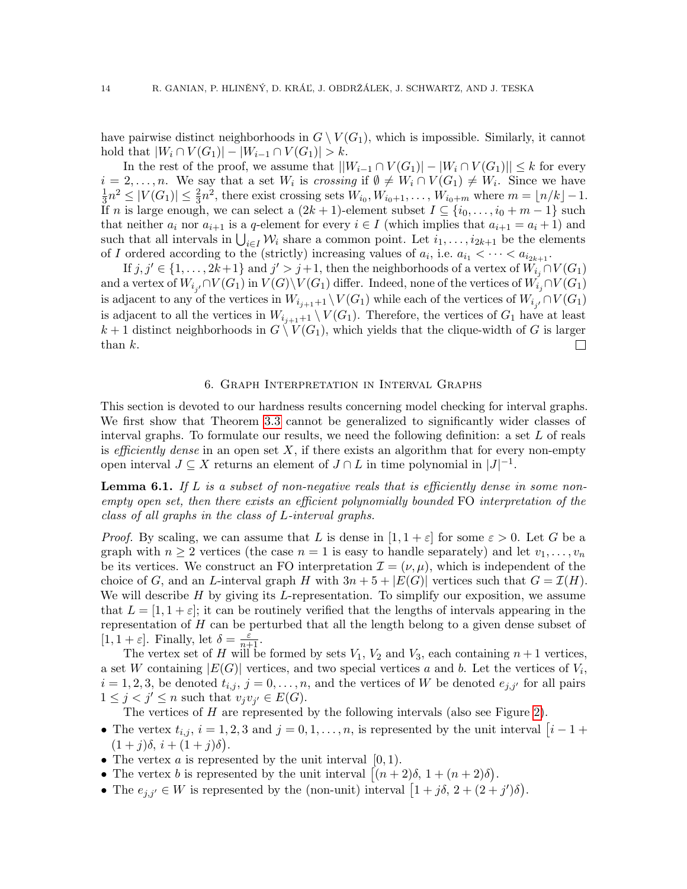have pairwise distinct neighborhoods in  $G \setminus V(G_1)$ , which is impossible. Similarly, it cannot hold that  $|W_i \cap V(G_1)| - |W_{i-1} \cap V(G_1)| > k$ .

In the rest of the proof, we assume that  $||W_{i-1} \cap V(G_1)| - |W_i \cap V(G_1)|| \leq k$  for every  $i = 2, \ldots, n$ . We say that a set  $W_i$  is *crossing* if  $\emptyset \neq W_i \cap V(G_1) \neq W_i$ . Since we have 1  $\frac{1}{2}n^2 \leq |V(G_1)| \leq \frac{2}{3}n^2$ , there exist crossing sets  $W_{i_0}, W_{i_0+1}, \ldots, W_{i_0+m}$  where  $m = \lfloor n/k \rfloor - 1$ . If n is large enough, we can select a  $(2k+1)$ -element subset  $I \subseteq \{i_0, \ldots, i_0 + m - 1\}$  such that neither  $a_i$  nor  $a_{i+1}$  is a q-element for every  $i \in I$  (which implies that  $a_{i+1} = a_i + 1$ ) and such that all intervals in  $\bigcup_{i\in I} \mathcal{W}_i$  share a common point. Let  $i_1, \ldots, i_{2k+1}$  be the elements of I ordered according to the (strictly) increasing values of  $a_i$ , i.e.  $a_{i_1} < \cdots < a_{i_{2k+1}}$ .

If  $j, j' \in \{1, \ldots, 2k+1\}$  and  $j' > j+1$ , then the neighborhoods of a vertex of  $W_{i_j} \cap V(G_1)$ and a vertex of  $W_{i_{j'}} \cap V(G_1)$  in  $V(G) \setminus V(G_1)$  differ. Indeed, none of the vertices of  $W_{i_j} \cap V(G_1)$ is adjacent to any of the vertices in  $W_{i_{j+1}+1} \setminus V(G_1)$  while each of the vertices of  $W_{i_{j'}} \cap V(G_1)$ is adjacent to all the vertices in  $W_{i,j+1}$   $\setminus V(G_1)$ . Therefore, the vertices of  $G_1$  have at least  $k + 1$  distinct neighborhoods in  $G \setminus V(G_1)$ , which yields that the clique-width of G is larger than k. than k.

#### 6. Graph Interpretation in Interval Graphs

<span id="page-13-0"></span>This section is devoted to our hardness results concerning model checking for interval graphs. We first show that Theorem [3.3](#page-8-0) cannot be generalized to significantly wider classes of interval graphs. To formulate our results, we need the following definition: a set  $L$  of reals is efficiently dense in an open set  $X$ , if there exists an algorithm that for every non-empty open interval  $J \subseteq X$  returns an element of  $J \cap L$  in time polynomial in  $|J|^{-1}$ .

<span id="page-13-1"></span>**Lemma 6.1.** If L is a subset of non-negative reals that is efficiently dense in some nonempty open set, then there exists an efficient polynomially bounded FO interpretation of the class of all graphs in the class of L-interval graphs.

*Proof.* By scaling, we can assume that L is dense in  $[1, 1 + \varepsilon]$  for some  $\varepsilon > 0$ . Let G be a graph with  $n \geq 2$  vertices (the case  $n = 1$  is easy to handle separately) and let  $v_1, \ldots, v_n$ be its vertices. We construct an FO interpretation  $\mathcal{I} = (\nu, \mu)$ , which is independent of the choice of G, and an L-interval graph H with  $3n + 5 + |E(G)|$  vertices such that  $G = \mathcal{I}(H)$ . We will describe  $H$  by giving its L-representation. To simplify our exposition, we assume that  $L = [1, 1 + \varepsilon]$ ; it can be routinely verified that the lengths of intervals appearing in the representation of H can be perturbed that all the length belong to a given dense subset of [1, 1 +  $\varepsilon$ ]. Finally, let  $\delta = \frac{\varepsilon}{n+1}$ .

The vertex set of H will be formed by sets  $V_1$ ,  $V_2$  and  $V_3$ , each containing  $n+1$  vertices, a set W containing  $|E(G)|$  vertices, and two special vertices a and b. Let the vertices of  $V_i$ ,  $i = 1, 2, 3$ , be denoted  $t_{i,j}$ ,  $j = 0, \ldots, n$ , and the vertices of W be denoted  $e_{j,j'}$  for all pairs  $1 \leq j < j' \leq n$  such that  $v_j v_{j'} \in E(G)$ .

The vertices of H are represented by the following intervals (also see Figure [2\)](#page-14-0).

- The vertex  $t_{i,j}$ ,  $i = 1, 2, 3$  and  $j = 0, 1, \ldots, n$ , is represented by the unit interval  $[i 1 +$  $(1+j)\delta, i+(1+j)\delta$ ).
- The vertex  $a$  is represented by the unit interval  $[0, 1)$ .
- The vertex *b* is represented by the unit interval  $\left[ (n+2)\delta, 1 + (n+2)\delta \right)$ .
- The  $e_{j,j'} \in W$  is represented by the (non-unit) interval  $\left[1+j\delta, 2+(2+j')\delta\right)$ .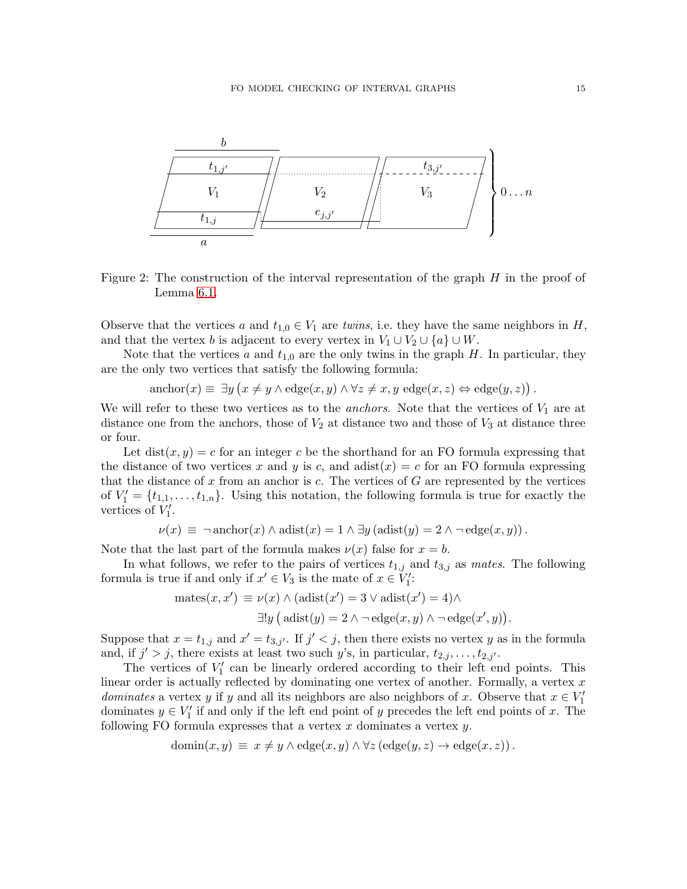

<span id="page-14-0"></span>Figure 2: The construction of the interval representation of the graph  $H$  in the proof of Lemma [6.1.](#page-13-1)

Observe that the vertices a and  $t_{1,0} \in V_1$  are twins, i.e. they have the same neighbors in H, and that the vertex b is adjacent to every vertex in  $V_1 \cup V_2 \cup \{a\} \cup W$ .

Note that the vertices  $a$  and  $t_{1,0}$  are the only twins in the graph  $H$ . In particular, they are the only two vertices that satisfy the following formula:

 $\text{anchor}(x) \equiv \exists y \left( x \neq y \land \text{edge}(x, y) \land \forall z \neq x, y \text{ edge}(x, z) \Leftrightarrow \text{edge}(y, z) \right).$ 

We will refer to these two vertices as to the *anchors*. Note that the vertices of  $V_1$  are at distance one from the anchors, those of  $V_2$  at distance two and those of  $V_3$  at distance three or four.

Let  $dist(x, y) = c$  for an integer c be the shorthand for an FO formula expressing that the distance of two vertices x and y is c, and adist(x) = c for an FO formula expressing that the distance of  $x$  from an anchor is  $c$ . The vertices of  $G$  are represented by the vertices of  $V_1' = \{t_{1,1}, \ldots, t_{1,n}\}.$  Using this notation, the following formula is true for exactly the vertices of  $V_1'$ .

$$
\nu(x) \equiv \neg \operatorname{anchor}(x) \land \operatorname{adist}(x) = 1 \land \exists y (\operatorname{adist}(y) = 2 \land \neg \operatorname{edge}(x, y)).
$$

Note that the last part of the formula makes  $\nu(x)$  false for  $x = b$ .

In what follows, we refer to the pairs of vertices  $t_{1,j}$  and  $t_{3,j}$  as mates. The following formula is true if and only if  $x' \in V_3$  is the mate of  $x \in V'_1$ :

$$
\begin{aligned} \text{mates}(x, x') &\equiv \nu(x) \land (\text{adist}(x') = 3 \lor \text{adist}(x') = 4) \land \\ \exists! y \, \big(\text{adist}(y) = 2 \land \neg \text{edge}(x, y) \land \neg \text{edge}(x', y)\big). \end{aligned}
$$

Suppose that  $x = t_{1,j}$  and  $x' = t_{3,j'}$ . If  $j' < j$ , then there exists no vertex y as in the formula and, if  $j' > j$ , there exists at least two such y's, in particular,  $t_{2,j}, \ldots, t_{2,j'}$ .

The vertices of  $V_1'$  can be linearly ordered according to their left end points. This linear order is actually reflected by dominating one vertex of another. Formally, a vertex  $x$ dominates a vertex y if y and all its neighbors are also neighbors of x. Observe that  $x \in V'_1$ dominates  $y \in V'_1$  if and only if the left end point of y precedes the left end points of x. The following FO formula expresses that a vertex  $x$  dominates a vertex  $y$ .

$$
\text{domin}(x, y) \equiv x \neq y \land \text{edge}(x, y) \land \forall z (\text{edge}(y, z) \rightarrow \text{edge}(x, z)).
$$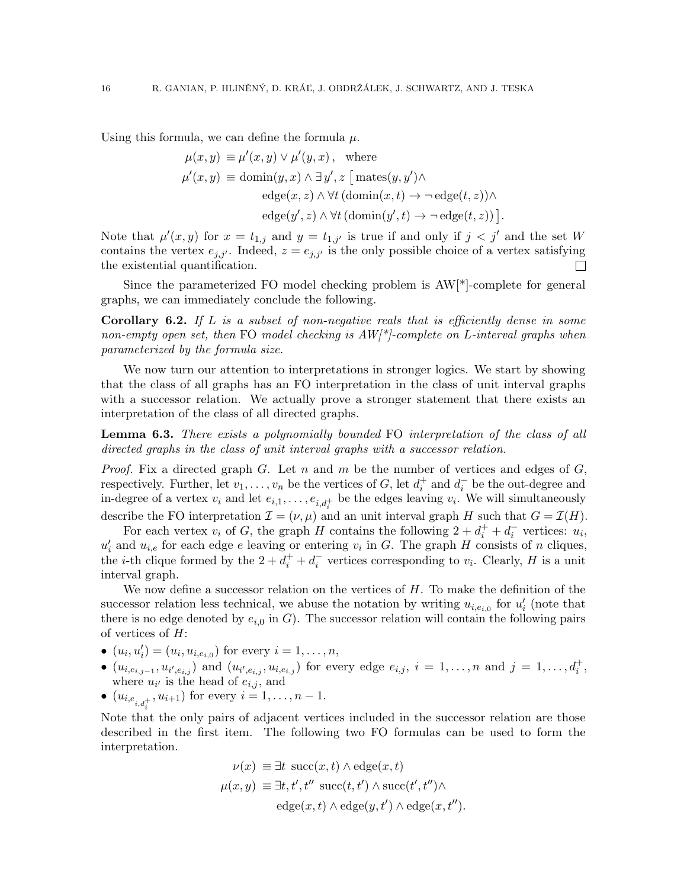Using this formula, we can define the formula  $\mu$ .

$$
\mu(x, y) \equiv \mu'(x, y) \lor \mu'(y, x), \text{ where}
$$

$$
\mu'(x, y) \equiv \text{domin}(y, x) \land \exists y', z \ [\text{mates}(y, y') \land
$$

$$
\text{edge}(x, z) \land \forall t \ (\text{domin}(x, t) \rightarrow \neg \text{ edge}(t, z)) \land
$$

$$
\text{edge}(y', z) \land \forall t \ (\text{domin}(y', t) \rightarrow \neg \text{ edge}(t, z)) \ ].
$$

Note that  $\mu'(x, y)$  for  $x = t_{1,j}$  and  $y = t_{1,j'}$  is true if and only if  $j < j'$  and the set W contains the vertex  $e_{j,j'}$ . Indeed,  $z = e_{j,j'}$  is the only possible choice of a vertex satisfying the existential quantification.  $\Box$ 

Since the parameterized FO model checking problem is AW[\*]-complete for general graphs, we can immediately conclude the following.

<span id="page-15-0"></span>**Corollary 6.2.** If  $L$  is a subset of non-negative reals that is efficiently dense in some non-empty open set, then FO model checking is  $AW/$ -complete on L-interval graphs when parameterized by the formula size.

We now turn our attention to interpretations in stronger logics. We start by showing that the class of all graphs has an FO interpretation in the class of unit interval graphs with a successor relation. We actually prove a stronger statement that there exists an interpretation of the class of all directed graphs.

<span id="page-15-1"></span>**Lemma 6.3.** There exists a polynomially bounded FO interpretation of the class of all directed graphs in the class of unit interval graphs with a successor relation.

*Proof.* Fix a directed graph G. Let n and m be the number of vertices and edges of  $G$ , respectively. Further, let  $v_1, \ldots, v_n$  be the vertices of G, let  $d_i^+$  and  $d_i^ \bar{i}$  be the out-degree and in-degree of a vertex  $v_i$  and let  $e_{i,1}, \ldots, e_{i,d_i^+}$  be the edges leaving  $v_i$ . We will simultaneously describe the FO interpretation  $\mathcal{I} = (\nu, \mu)$  and an unit interval graph H such that  $G = \mathcal{I}(H)$ .

For each vertex  $v_i$  of G, the graph H contains the following  $2 + d_i^+ + d_i^ \overline{i}$  vertices:  $u_i$ ,  $u'_i$  and  $u_{i,e}$  for each edge e leaving or entering  $v_i$  in G. The graph H consists of n cliques, the *i*-th clique formed by the  $2 + d_i^+ + d_i^ \overline{i}$  vertices corresponding to  $v_i$ . Clearly, H is a unit interval graph.

We now define a successor relation on the vertices of  $H$ . To make the definition of the successor relation less technical, we abuse the notation by writing  $u_{i,e_{i,0}}$  for  $u'_{i}$  (note that there is no edge denoted by  $e_{i,0}$  in G). The successor relation will contain the following pairs of vertices of  $H$ :

•  $(u_i, u'_i) = (u_i, u_{i, e_{i, 0}})$  for every  $i = 1, ..., n$ ,

- $(u_{i,e_{i,j-1}}, u_{i',e_{i,j}})$  and  $(u_{i',e_{i,j}}, u_{i,e_{i,j}})$  for every edge  $e_{i,j}, i = 1, ..., n$  and  $j = 1, ..., d_i^+$ , where  $u_{i'}$  is the head of  $e_{i,j}$ , and
- $(u_{i,e_{i,d_i^+}}, u_{i+1})$  for every  $i = 1, ..., n-1$ .

Note that the only pairs of adjacent vertices included in the successor relation are those described in the first item. The following two FO formulas can be used to form the interpretation.

$$
\nu(x) \equiv \exists t \; \text{succ}(x, t) \land \text{edge}(x, t)
$$

$$
\mu(x, y) \equiv \exists t, t', t'' \; \text{succ}(t, t') \land \text{succ}(t', t'') \land
$$

$$
\text{edge}(x, t) \land \text{edge}(y, t') \land \text{edge}(x, t'').
$$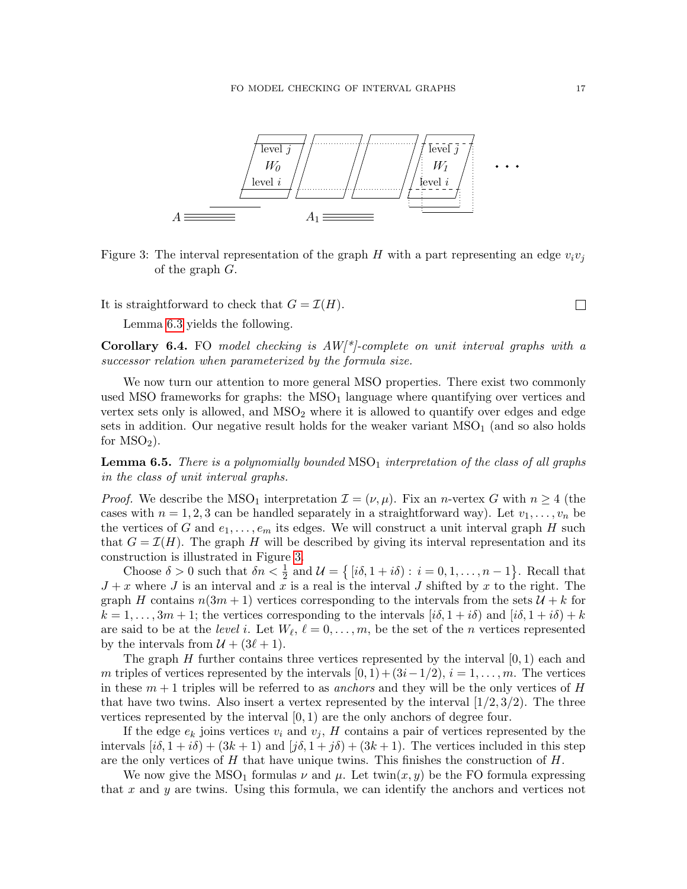

<span id="page-16-0"></span>Figure 3: The interval representation of the graph H with a part representing an edge  $v_i v_j$ of the graph G.

It is straightforward to check that  $G = \mathcal{I}(H)$ .

Lemma [6.3](#page-15-1) yields the following.

**Corollary 6.4.** FO model checking is  $AW/$ \*/-complete on unit interval graphs with a successor relation when parameterized by the formula size.

We now turn our attention to more general MSO properties. There exist two commonly used MSO frameworks for graphs: the  $MSO<sub>1</sub>$  language where quantifying over vertices and vertex sets only is allowed, and  $MSO<sub>2</sub>$  where it is allowed to quantify over edges and edge sets in addition. Our negative result holds for the weaker variant  $MSO<sub>1</sub>$  (and so also holds for  $MSO<sub>2</sub>$ ).

**Lemma 6.5.** There is a polynomially bounded  $MSO<sub>1</sub>$  interpretation of the class of all graphs in the class of unit interval graphs.

*Proof.* We describe the MSO<sub>1</sub> interpretation  $\mathcal{I} = (\nu, \mu)$ . Fix an *n*-vertex G with  $n \geq 4$  (the cases with  $n = 1, 2, 3$  can be handled separately in a straightforward way). Let  $v_1, \ldots, v_n$  be the vertices of G and  $e_1, \ldots, e_m$  its edges. We will construct a unit interval graph H such that  $G = \mathcal{I}(H)$ . The graph H will be described by giving its interval representation and its construction is illustrated in Figure [3.](#page-16-0)

Choose  $\delta > 0$  such that  $\delta n < \frac{1}{2}$  and  $\mathcal{U} = \{ [i\delta, 1 + i\delta) : i = 0, 1, ..., n - 1 \}$ . Recall that  $J + x$  where J is an interval and x is a real is the interval J shifted by x to the right. The graph H contains  $n(3m + 1)$  vertices corresponding to the intervals from the sets  $\mathcal{U} + k$  for  $k = 1, \ldots, 3m + 1$ ; the vertices corresponding to the intervals  $[i\delta, 1 + i\delta)$  and  $[i\delta, 1 + i\delta) + k$ are said to be at the *level* i. Let  $W_{\ell}$ ,  $\ell = 0, \ldots, m$ , be the set of the *n* vertices represented by the intervals from  $\mathcal{U} + (3\ell + 1)$ .

The graph H further contains three vertices represented by the interval  $[0, 1)$  each and m triples of vertices represented by the intervals  $[0, 1) + (3i-1/2), i = 1, \ldots, m$ . The vertices in these  $m+1$  triples will be referred to as anchors and they will be the only vertices of H that have two twins. Also insert a vertex represented by the interval  $(1/2, 3/2)$ . The three vertices represented by the interval  $[0, 1)$  are the only anchors of degree four.

If the edge  $e_k$  joins vertices  $v_i$  and  $v_j$ , H contains a pair of vertices represented by the intervals  $[i\delta, 1 + i\delta) + (3k + 1)$  and  $[j\delta, 1 + j\delta) + (3k + 1)$ . The vertices included in this step are the only vertices of  $H$  that have unique twins. This finishes the construction of  $H$ .

We now give the MSO<sub>1</sub> formulas  $\nu$  and  $\mu$ . Let twin $(x, y)$  be the FO formula expressing that  $x$  and  $y$  are twins. Using this formula, we can identify the anchors and vertices not

 $\Box$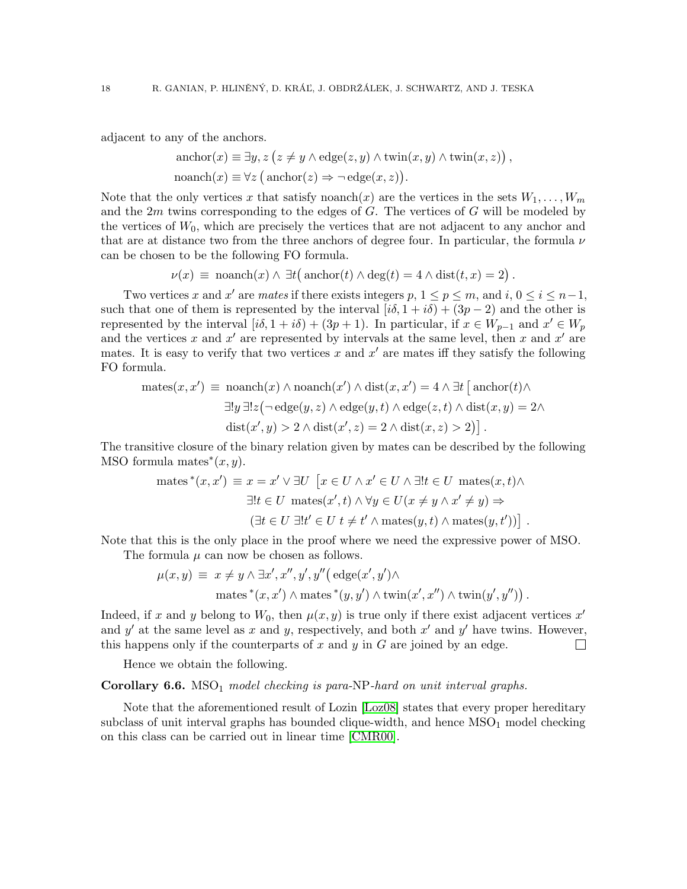adjacent to any of the anchors.

$$
\text{anchor}(x) \equiv \exists y, z \ (z \neq y \land \text{edge}(z, y) \land \text{twin}(x, y) \land \text{twin}(x, z))
$$
\n
$$
\text{noanch}(x) \equiv \forall z \ (\text{anchor}(z) \Rightarrow \neg \text{edge}(x, z)).
$$

,

Note that the only vertices x that satisfy noanch(x) are the vertices in the sets  $W_1, \ldots, W_m$ and the  $2m$  twins corresponding to the edges of  $G$ . The vertices of  $G$  will be modeled by the vertices of  $W_0$ , which are precisely the vertices that are not adjacent to any anchor and that are at distance two from the three anchors of degree four. In particular, the formula  $\nu$ can be chosen to be the following FO formula.

$$
\nu(x) \equiv \text{noanch}(x) \land \exists t \big(\text{anchor}(t) \land \text{deg}(t) = 4 \land \text{dist}(t, x) = 2\big).
$$

Two vertices x and x' are mates if there exists integers p,  $1 \le p \le m$ , and  $i, 0 \le i \le n-1$ , such that one of them is represented by the interval  $[i\delta, 1 + i\delta) + (3p - 2)$  and the other is represented by the interval  $[i\delta, 1 + i\delta) + (3p + 1)$ . In particular, if  $x \in W_{p-1}$  and  $x' \in W_p$ and the vertices x and  $x'$  are represented by intervals at the same level, then x and  $x'$  are mates. It is easy to verify that two vertices x and  $x'$  are mates iff they satisfy the following FO formula.

$$
\begin{aligned}\n\text{mates}(x, x') & \equiv \text{ noanch}(x) \land \text{ noanch}(x') \land \text{dist}(x, x') = 4 \land \exists t \, [\text{ anchor}(t) \land \\
& \exists ! y \, \exists ! z \big(\neg \text{edge}(y, z) \land \text{edge}(y, t) \land \text{edge}(z, t) \land \text{dist}(x, y) = 2 \land \\
& \text{dist}(x', y) > 2 \land \text{dist}(x', z) = 2 \land \text{dist}(x, z) > 2 \big) \big].\n\end{aligned}
$$

The transitive closure of the binary relation given by mates can be described by the following MSO formula mates<sup>\*</sup> $(x, y)$ .

$$
\begin{aligned}\n\text{mates}^*(x, x') &\equiv x = x' \lor \exists U \, \left[ x \in U \land x' \in U \land \exists ! t \in U \, \text{ mates}(x, t) \land \right. \\
\exists ! t \in U \, \text{ mates}(x', t) \land \forall y \in U(x \neq y \land x' \neq y) \Rightarrow \\
(\exists t \in U \, \exists ! t' \in U \, t \neq t' \land \text{mates}(y, t) \land \text{mates}(y, t')) \right].\n\end{aligned}
$$

Note that this is the only place in the proof where we need the expressive power of MSO. The formula  $\mu$  can now be chosen as follows.

$$
\mu(x,y) \equiv x \neq y \land \exists x', x'', y', y'' \big( \text{edge}(x',y') \land \text{mates}^*(x,x') \land \text{mates}^*(y,y') \land \text{twin}(x',x'') \land \text{twin}(y',y'') \big).
$$

Indeed, if x and y belong to  $W_0$ , then  $\mu(x, y)$  is true only if there exist adjacent vertices  $x'$ and  $y'$  at the same level as x and y, respectively, and both  $x'$  and  $y'$  have twins. However, this happens only if the counterparts of  $x$  and  $y$  in  $G$  are joined by an edge.  $\Box$ 

Hence we obtain the following.

**Corollary 6.6.** MSO<sub>1</sub> model checking is para-NP-hard on unit interval graphs.

Note that the aforementioned result of Lozin [\[Loz08\]](#page-18-13) states that every proper hereditary subclass of unit interval graphs has bounded clique-width, and hence  $MSO<sub>1</sub>$  model checking on this class can be carried out in linear time [\[CMR00\]](#page-18-2).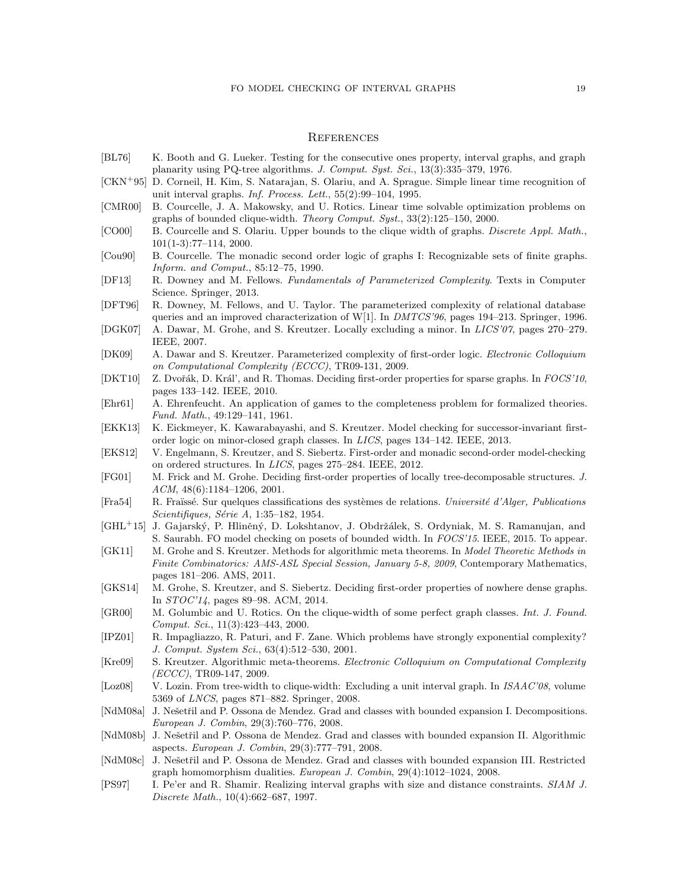#### **REFERENCES**

- <span id="page-18-17"></span>[BL76] K. Booth and G. Lueker. Testing for the consecutive ones property, interval graphs, and graph planarity using PQ-tree algorithms. J. Comput. Syst. Sci., 13(3):335–379, 1976.
- <span id="page-18-18"></span>[CKN<sup>+</sup>95] D. Corneil, H. Kim, S. Natarajan, S. Olariu, and A. Sprague. Simple linear time recognition of unit interval graphs. Inf. Process. Lett., 55(2):99–104, 1995.
- <span id="page-18-2"></span>[CMR00] B. Courcelle, J. A. Makowsky, and U. Rotics. Linear time solvable optimization problems on graphs of bounded clique-width. Theory Comput. Syst., 33(2):125–150, 2000.
- <span id="page-18-22"></span>[CO00] B. Courcelle and S. Olariu. Upper bounds to the clique width of graphs. *Discrete Appl. Math.*, 101(1-3):77–114, 2000.
- <span id="page-18-1"></span>[Cou90] B. Courcelle. The monadic second order logic of graphs I: Recognizable sets of finite graphs. Inform. and Comput., 85:12–75, 1990.
- <span id="page-18-3"></span>[DF13] R. Downey and M. Fellows. Fundamentals of Parameterized Complexity. Texts in Computer Science. Springer, 2013.
- <span id="page-18-21"></span>[DFT96] R. Downey, M. Fellows, and U. Taylor. The parameterized complexity of relational database queries and an improved characterization of W[1]. In  $DMTCS'36$ , pages 194–213. Springer, 1996.
- <span id="page-18-5"></span>[DGK07] A. Dawar, M. Grohe, and S. Kreutzer. Locally excluding a minor. In LICS'07, pages 270–279. IEEE, 2007.
- <span id="page-18-9"></span>[DK09] A. Dawar and S. Kreutzer. Parameterized complexity of first-order logic. Electronic Colloquium on Computational Complexity (ECCC), TR09-131, 2009.
- <span id="page-18-11"></span>[DKT10] Z. Dvořák, D. Král', and R. Thomas. Deciding first-order properties for sparse graphs. In FOCS'10, pages 133–142. IEEE, 2010.
- <span id="page-18-23"></span>[Ehr61] A. Ehrenfeucht. An application of games to the completeness problem for formalized theories. Fund. Math., 49:129–141, 1961.
- <span id="page-18-15"></span>[EKK13] K. Eickmeyer, K. Kawarabayashi, and S. Kreutzer. Model checking for successor-invariant firstorder logic on minor-closed graph classes. In LICS, pages 134–142. IEEE, 2013.
- <span id="page-18-14"></span>[EKS12] V. Engelmann, S. Kreutzer, and S. Siebertz. First-order and monadic second-order model-checking on ordered structures. In LICS, pages 275–284. IEEE, 2012.
- <span id="page-18-4"></span>[FG01] M. Frick and M. Grohe. Deciding first-order properties of locally tree-decomposable structures. J. ACM, 48(6):1184–1206, 2001.
- <span id="page-18-24"></span>[Fra54] R. Fraüssé. Sur quelques classifications des systèmes de relations. Université d'Alger, Publications  $Scientifiques, Série A, 1:35–182, 1954.$
- <span id="page-18-16"></span>[GHL<sup>+</sup>15] J. Gajarský, P. Hliněný, D. Lokshtanov, J. Obdržálek, S. Ordyniak, M. S. Ramanujan, and S. Saurabh. FO model checking on posets of bounded width. In FOCS'15. IEEE, 2015. To appear.
- <span id="page-18-10"></span>[GK11] M. Grohe and S. Kreutzer. Methods for algorithmic meta theorems. In Model Theoretic Methods in Finite Combinatorics: AMS-ASL Special Session, January 5-8, 2009, Contemporary Mathematics, pages 181–206. AMS, 2011.
- <span id="page-18-12"></span>[GKS14] M. Grohe, S. Kreutzer, and S. Siebertz. Deciding first-order properties of nowhere dense graphs. In STOC'14, pages 89–98. ACM, 2014.
- <span id="page-18-25"></span>[GR00] M. Golumbic and U. Rotics. On the clique-width of some perfect graph classes. Int. J. Found. Comput. Sci., 11(3):423–443, 2000.
- <span id="page-18-20"></span>[IPZ01] R. Impagliazzo, R. Paturi, and F. Zane. Which problems have strongly exponential complexity? J. Comput. System Sci., 63(4):512–530, 2001.
- <span id="page-18-0"></span>[Kre09] S. Kreutzer. Algorithmic meta-theorems. Electronic Colloquium on Computational Complexity  $(ECCC)$ , TR09-147, 2009.
- <span id="page-18-13"></span>[Loz08] V. Lozin. From tree-width to clique-width: Excluding a unit interval graph. In ISAAC'08, volume 5369 of LNCS, pages 871–882. Springer, 2008.
- <span id="page-18-6"></span>[NdM08a] J. Nešetřil and P. Ossona de Mendez. Grad and classes with bounded expansion I. Decompositions. European J. Combin, 29(3):760–776, 2008.
- <span id="page-18-7"></span>[NdM08b] J. Nešetřil and P. Ossona de Mendez. Grad and classes with bounded expansion II. Algorithmic aspects. European J. Combin, 29(3):777–791, 2008.
- <span id="page-18-8"></span>[NdM08c] J. Nešetřil and P. Ossona de Mendez. Grad and classes with bounded expansion III. Restricted graph homomorphism dualities. European J. Combin, 29(4):1012–1024, 2008.
- <span id="page-18-19"></span>[PS97] I. Pe'er and R. Shamir. Realizing interval graphs with size and distance constraints. SIAM J. Discrete Math., 10(4):662–687, 1997.